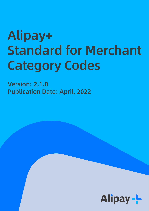# Alipay+ Standard for Merchant Category Codes

Version: 2.1.0 Publication Date: April, 2022

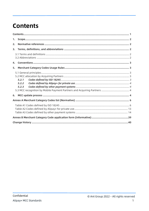# <span id="page-1-0"></span>**Contents**

| 1. |       |  |  |  |  |
|----|-------|--|--|--|--|
| 2. |       |  |  |  |  |
| 3. |       |  |  |  |  |
|    |       |  |  |  |  |
| 4. |       |  |  |  |  |
| 5. |       |  |  |  |  |
|    |       |  |  |  |  |
|    |       |  |  |  |  |
|    | 5.2.1 |  |  |  |  |
|    | 5.2.2 |  |  |  |  |
|    | 5.2.3 |  |  |  |  |
|    |       |  |  |  |  |
| 6. |       |  |  |  |  |
|    |       |  |  |  |  |
|    |       |  |  |  |  |
|    |       |  |  |  |  |
|    |       |  |  |  |  |
|    |       |  |  |  |  |
|    |       |  |  |  |  |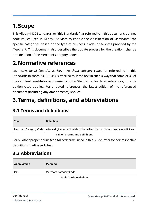# <span id="page-2-0"></span>**1.Scope**

This Alipay+ MCC Standards, or "this Standards", as referred to in this document, defines code values used in Alipay+ Services to enable the classification of Merchants into specific categories based on the type of business, trade, or services provided by the Merchant. This document also describes the update process for the creation, change and deletion of the Merchant Category Codes.

## <span id="page-2-1"></span>**2.Normative references**

*ISO 18245 Retail financial services - Merchant category codes* (or referred to in this Standards in short, ISO 18245) is referred to in the text in such a way that some or all of their content constitutes requirements of this Standards. For dated references, only the edition cited applies. For undated references, the latest edition of the referenced document (including any amendments) applies.

# <span id="page-2-2"></span>**3.Terms, definitions, and abbreviations**

## <span id="page-2-3"></span>**3.1 Terms and definitions**

| <b>Term</b> | <b>Definition</b>                                                                                          |
|-------------|------------------------------------------------------------------------------------------------------------|
|             | Merchant Category Code $\mid$ A four-digit number that describes a Merchant's primary business activities. |

#### **Table 1: Terms and definitions**

For all other proper nouns (capitalized terms) used in this Guide, refer to their respective definitions in Alipay+ Rules.

## <span id="page-2-4"></span>**3.2 Abbreviations**

| Abbreviation | <b>Meaning</b>         |
|--------------|------------------------|
| MCC          | Merchant Category Code |

#### **Table 2: Abbreviations**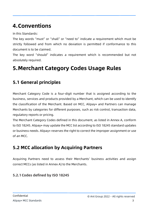# <span id="page-3-0"></span>**4.Conventions**

In this Standards:

The key words "must" or "shall" or "need to" indicate a requirement which must be strictly followed and from which no deviation is permitted if conformance to this document is to be claimed.

The key word "should" indicates a requirement which is recommended but not absolutely required.

# <span id="page-3-1"></span>**5.Merchant Category Codes Usage Rules**

## <span id="page-3-2"></span>**5.1 General principles**

Merchant Category Code is a four-digit number that is assigned according to the business, services and products provided by a Merchant, which can be used to identify the classification of the Merchant. Based on MCC, Alipay+ and Partners can manage Merchants by categories for different purposes, such as risk control, transaction data, regulatory reports or pricing.

The Merchant Category Codes defined in this document, as listed in Annex A, conform to ISO 18245. Alipay+ may update the MCC list according to ISO 18245 standard updates or business needs. Alipay+ reserves the right to correct the improper assignment or use of an MCC.

## <span id="page-3-3"></span>**5.2 MCC allocation by Acquiring Partners**

Acquiring Partners need to assess their Merchants' business activities and assign correct MCCs (as listed in Annex A) to the Merchants.

#### <span id="page-3-4"></span>**5.2.1Codes defined by ISO 18245**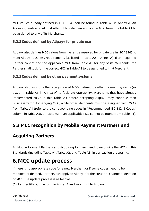MCC values already defined in ISO 18245 can be found in Table A1 in Annex A. An Acquiring Partner shall first attempt to select an applicable MCC from this Table A1 to be assigned to any of its Merchants.

#### <span id="page-4-0"></span>**5.2.2Codes defined by Alipay+ for private use**

Alipay+ also defines MCC values from the range reserved for private use in ISO 18245 to meet Alipay+ business requirements (as listed in Table A2 in Annex A). If an Acquiring Partner cannot find the applicable MCC from Table A1 for any of its Merchants, the Partner shall look for the correct MCC in Table A2 to be assigned to that Merchant.

#### <span id="page-4-1"></span>**5.2.3Codes defined by other payment systems**

Alipay+ also supports the recognition of MCCs defined by other payment systems (as listed in Table A3 in Annex A) to facilitate operability. Merchants that have already implemented MCCs in this Table A3 before accepting Alipay+ may continue their business without changing MCC, while other Merchants must be assigned with MCCs from Table A1 (refer to the corresponding codes in "Recommended ISO 18245 Codes" column in Table A3), or Table A2 (if an applicable MCC cannot be found from Table A1).

## <span id="page-4-2"></span>**5.3 MCC recognition by Mobile Payment Partners and**

## **Acquiring Partners**

All Mobile Payment Partners and Acquiring Partners need to recognize the MCCs in this Standards (including Table A1, Table A2, and Table A3) in transaction processing.

## <span id="page-4-3"></span>**6.MCC update process**

If there is no appropriate code for a new Merchant or if some codes need to be modified or deleted, Partners can apply to Alipay+ for the creation, change or deletion of MCC. The update process is as follows:

(1) Partner fills out the form in Annex B and submits it to Alipay+;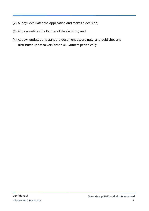- (2) Alipay+ evaluates the application and makes a decision;
- (3) Alipay+ notifies the Partner of the decision; and
- (4) Alipay+ updates this standard document accordingly, and publishes and distributes updated versions to all Partners periodically.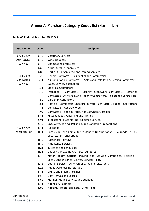### <span id="page-6-0"></span>**Annex A Merchant Category Codes list** (Normative)

#### <span id="page-6-1"></span>**Table A1 Codes defined by ISO 18245**

| <b>ISO Range</b> | <b>Codes</b> | <b>Description</b>                                                                                   |  |  |  |
|------------------|--------------|------------------------------------------------------------------------------------------------------|--|--|--|
| 0700-0999        | 0742         | <b>Veterinary Services</b>                                                                           |  |  |  |
| Agricultural     | 0743         | Wine producers                                                                                       |  |  |  |
| services         | 0744         | Champagne producers                                                                                  |  |  |  |
|                  | 0763         | Agricultural Co-operatives                                                                           |  |  |  |
|                  | 0780         | Horticultural Services, Landscaping Services                                                         |  |  |  |
| 1500-2999        | 1520         | General Contractors-Residential and Commercial                                                       |  |  |  |
| Contracted       | 1711         | Air Conditioning Contractors - Sales and Installation, Heating Contractors -                         |  |  |  |
| services         |              | Sales, Service, Installation                                                                         |  |  |  |
|                  | 1731         | <b>Electrical Contractors</b>                                                                        |  |  |  |
|                  | 1740         | Insulation - Contractors, Masonry, Stonework Contractors, Plastering                                 |  |  |  |
|                  |              | Contractors, Stonework and Masonry Contractors, Tile Settings Contractors                            |  |  |  |
|                  | 1750         | <b>Carpentry Contractors</b>                                                                         |  |  |  |
|                  | 1761         | Roofing - Contractors, Sheet Metal Work - Contractors, Siding - Contractors                          |  |  |  |
|                  | 1771         | Contractors - Concrete Work                                                                          |  |  |  |
|                  | 1799         | Contractors - Special Trade, Not Elsewhere Classified                                                |  |  |  |
|                  | 2741         | Miscellaneous Publishing and Printing                                                                |  |  |  |
|                  | 2791         | Typesetting, Plate Making, & Related Services                                                        |  |  |  |
|                  | 2842         | Specialty Cleaning, Polishing, and Sanitation Preparations                                           |  |  |  |
| 4000-4799        | 4011         | Railroads                                                                                            |  |  |  |
| Transportation   | 4111         | Local/Suburban Commuter Passenger Transportation - Railroads, Ferries,<br>Local Water Transportation |  |  |  |
|                  | 4112         | Passenger Railways                                                                                   |  |  |  |
|                  | 4119         | <b>Ambulance Services</b>                                                                            |  |  |  |
|                  | 4121         | <b>Taxicabs and Limousines</b>                                                                       |  |  |  |
|                  | 4131         | Bus Lines, Including Charters, Tour Buses                                                            |  |  |  |
|                  | 4214         | Motor Freight Carriers, Moving and Storage Companies, Trucking -                                     |  |  |  |
|                  |              | Local/Long Distance, Delivery Services - Local                                                       |  |  |  |
|                  | 4215         | Courier Services - Air or Ground, Freight forwarders                                                 |  |  |  |
|                  | 4225         | Public warehousing, Storage                                                                          |  |  |  |
|                  | 4411         | Cruise and Steamship Lines                                                                           |  |  |  |
|                  | 4457         | <b>Boat Rentals and Leases</b>                                                                       |  |  |  |
|                  | 4468         | Marinas, Marine Service, and Supplies                                                                |  |  |  |
|                  | 4511         | Airlines, Air Carriers                                                                               |  |  |  |
|                  | 4582         | Airports, Airport Terminals, Flying Fields                                                           |  |  |  |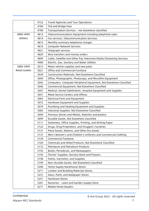|                | 4722                                                           | Travel Agencies and Tour Operations                                |  |  |
|----------------|----------------------------------------------------------------|--------------------------------------------------------------------|--|--|
| 4784           |                                                                | Toll and Bridge Fees                                               |  |  |
|                | 4789                                                           | Transportation Services - not elsewhere classified                 |  |  |
| 4800-4999      | Telecommunications Equipment including telephone sales<br>4812 |                                                                    |  |  |
| Utilities      | 4814                                                           | Fax services, Telecommunication Services                           |  |  |
|                | 4815                                                           | Monthly summary telephone charges                                  |  |  |
|                | 4816                                                           | <b>Computer Network Services</b>                                   |  |  |
|                | 4821                                                           | Telegraph services                                                 |  |  |
|                | 4829                                                           | Wire transfers and money orders                                    |  |  |
|                | 4899                                                           | Cable, Satellite and Other Pay Television/Radio/Streaming Services |  |  |
|                | 4900                                                           | Electric, Gas, Sanitary and Water Utilities                        |  |  |
| 5000-5499      | 5013                                                           | Motor vehicle supplies and new parts                               |  |  |
| Retail outlets | 5021                                                           | Office and Commercial Furniture                                    |  |  |
|                | 5039                                                           | Construction Materials, Not Elsewhere Classified                   |  |  |
|                | 5044                                                           | Office, Photographic, Photocopy, and Microfilm Equipment           |  |  |
|                | 5045                                                           | Computers, Computer Peripheral Equipment, Not Elsewhere Classified |  |  |
|                | 5046                                                           | Commercial Equipment, Not Elsewhere Classified                     |  |  |
|                | 5047                                                           | Medical, Dental Ophthalmic, Hospital Equipment and Supplies        |  |  |
|                | 5051                                                           | Metal Service Centers and Offices                                  |  |  |
|                | 5065                                                           | <b>Electrical Parts and Equipment</b>                              |  |  |
|                | 5072                                                           | Hardware Equipment and Supplies                                    |  |  |
|                | 5074                                                           | Plumbing and Heating Equipment and Supplies                        |  |  |
|                | 5085                                                           | Industrial Supplies, Not Elsewhere Classified                      |  |  |
|                | 5094                                                           | Precious Stones and Metals, Watches and Jewelry                    |  |  |
|                | 5099                                                           | Durable Goods, Not Elsewhere Classified                            |  |  |
|                | 5111                                                           | Stationery, Office Supplies, Printing, and Writing Paper           |  |  |
|                | 5122                                                           | Drugs, Drug Proprietors, and Druggist's Sundries                   |  |  |
|                | 5131                                                           | Piece Goods, Notions, and Other Dry Goods                          |  |  |
|                | 5137                                                           | Men's Women's and Children's Uniforms and Commercial Clothing      |  |  |
|                | 5139                                                           | <b>Commercial Footwear</b>                                         |  |  |
|                | 5169                                                           | Chemicals and Allied Products, Not Elsewhere Classified            |  |  |
|                | 5172                                                           | Petroleum and Petroleum Products                                   |  |  |
|                | 5192                                                           | Books, Periodicals, and Newspapers                                 |  |  |
|                | 5193                                                           | Florists' Supplies, Nursery Stock and Flowers                      |  |  |
|                | 5198                                                           | Paints, Varnishes, and Supplies                                    |  |  |
|                | 5199                                                           | Non-durable Goods, Not Elsewhere Classified                        |  |  |
|                | 5200                                                           | Home Supply Warehouse Stores                                       |  |  |
|                | 5211                                                           | Lumber and Building Materials Stores                               |  |  |
|                | 5231                                                           | Glass, Paint, and Wallpaper Stores                                 |  |  |
|                | 5251                                                           | <b>Hardware Stores</b>                                             |  |  |
|                | 5261                                                           | Nurseries - Lawn and Garden Supply Store                           |  |  |
|                | 5271                                                           | Mobile Home Dealers                                                |  |  |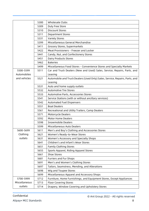|                       | 5300 | Wholesale Clubs                                                              |  |  |  |  |
|-----------------------|------|------------------------------------------------------------------------------|--|--|--|--|
|                       | 5309 | Duty Free Store                                                              |  |  |  |  |
|                       | 5310 | <b>Discount Stores</b>                                                       |  |  |  |  |
|                       | 5311 | <b>Department Stores</b>                                                     |  |  |  |  |
|                       | 5331 | <b>Variety Stores</b>                                                        |  |  |  |  |
|                       | 5399 | Miscellaneous General Merchandise                                            |  |  |  |  |
|                       | 5411 | Grocery Stores, Supermarkets                                                 |  |  |  |  |
|                       | 5422 | Meat Provisioners - Freezer and Locker                                       |  |  |  |  |
|                       | 5441 | Candy, Nut, and Confectionery Stores                                         |  |  |  |  |
|                       | 5451 | <b>Dairy Products Stores</b>                                                 |  |  |  |  |
|                       | 5462 | <b>Bakeries</b>                                                              |  |  |  |  |
|                       | 5499 | Miscellaneous Food Stores - Convenience Stores and Specialty Markets         |  |  |  |  |
| 5500-5599             | 5511 | Car and Truck Dealers (New and Used) Sales, Service, Repairs, Parts, and     |  |  |  |  |
| Automobiles           |      | Leasing                                                                      |  |  |  |  |
| and vehicles          | 5521 | Automobile and Truck Dealers (Used Only) Sales, Service, Repairs, Parts, and |  |  |  |  |
|                       |      | Leasing                                                                      |  |  |  |  |
|                       | 5531 | Auto and home supply outlets                                                 |  |  |  |  |
|                       | 5532 | <b>Automotive Tire Stores</b>                                                |  |  |  |  |
|                       | 5533 | Automotive Parts, Accessories Stores                                         |  |  |  |  |
|                       | 5541 | Service Stations (with or without ancillary services)                        |  |  |  |  |
|                       | 5542 | Automated Fuel Dispensers                                                    |  |  |  |  |
|                       | 5551 | <b>Boat Dealers</b>                                                          |  |  |  |  |
|                       | 5561 | Recreational and Utility Trailers, Camp Dealers                              |  |  |  |  |
|                       | 5571 | Motorcycle Dealers                                                           |  |  |  |  |
|                       | 5592 | <b>Motor Home Dealers</b>                                                    |  |  |  |  |
|                       | 5598 | Snowmobile Dealers                                                           |  |  |  |  |
|                       | 5599 | Miscellaneous Auto Dealers                                                   |  |  |  |  |
| 5600-5699             | 5611 | Men's and Boy's Clothing and Accessories Stores                              |  |  |  |  |
| Clothing              | 5621 | Women's Ready-to-Wear Stores                                                 |  |  |  |  |
| outlets               | 5631 | Women's Accessory and Specialty Shops                                        |  |  |  |  |
|                       | 5641 | Children's and Infant's Wear Stores                                          |  |  |  |  |
|                       | 5651 | Family Clothing Stores                                                       |  |  |  |  |
|                       | 5655 | Sports Apparel, Riding Apparel Stores                                        |  |  |  |  |
|                       | 5661 | Shoe Stores                                                                  |  |  |  |  |
|                       | 5681 | <b>Furriers and Fur Shops</b>                                                |  |  |  |  |
|                       | 5691 | Men's and Women's Clothing Stores                                            |  |  |  |  |
|                       | 5697 | Tailors, Seamstress, Mending, and Alterations                                |  |  |  |  |
|                       | 5698 | Wig and Toupee Stores                                                        |  |  |  |  |
|                       | 5699 | Miscellaneous Apparel and Accessory Shops                                    |  |  |  |  |
| 5700-5999             | 5712 | Furniture, Home Furnishings, and Equipment Stores, Except Appliances         |  |  |  |  |
| Miscellaneous<br>5713 |      | Floor Covering Stores                                                        |  |  |  |  |
| outlets               | 5714 | Drapery, Window Covering and Upholstery Stores                               |  |  |  |  |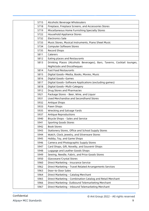| 5715 | Alcoholic Beverage Wholesalers                                          |
|------|-------------------------------------------------------------------------|
| 5718 | Fireplace, Fireplace Screens, and Accessories Stores                    |
| 5719 | Miscellaneous Home Furnishing Specialty Stores                          |
| 5722 | Household Appliance Stores                                              |
| 5732 | <b>Electronics Sale</b>                                                 |
| 5733 | Music Stores, Musical Instruments, Piano Sheet Music                    |
| 5734 | <b>Computer Software Stores</b>                                         |
| 5735 | Record Shops                                                            |
| 5811 | Caterers                                                                |
| 5812 | Eating places and Restaurants                                           |
| 5813 | Drinking Places (Alcoholic Beverages), Bars, Taverns, Cocktail lounges, |
|      | Nightclubs and Discotheques                                             |
| 5814 | <b>Fast Food Restaurants</b>                                            |
| 5815 | Digital Goods-Media, Books, Movies, Music                               |
| 5816 | Digital Goods-Games                                                     |
| 5817 | Digital Goods-Software Applications (excluding games)                   |
| 5818 | Digital Goods-Multi-Category                                            |
| 5912 | Drug Stores and Pharmacies                                              |
| 5921 | Package Stores - Beer, Wine, and Liquor                                 |
| 5931 | Used Merchandise and Secondhand Stores                                  |
| 5932 | Antique Shops                                                           |
| 5933 | Pawn Shops                                                              |
| 5935 | Wrecking and Salvage Yards                                              |
| 5937 | Antique Reproductions                                                   |
| 5940 | Bicycle Shops - Sales and Service                                       |
| 5941 | <b>Sporting Goods Stores</b>                                            |
| 5942 | <b>Book Stores</b>                                                      |
| 5943 | Stationery Stores, Office and School Supply Stores                      |
| 5944 | Watch, Clock, Jewelry, and Silverware Stores                            |
| 5945 | Hobby, Toy, and Game Shops                                              |
| 5946 | Camera and Photographic Supply Stores                                   |
| 5947 | Card Shops, Gift, Novelty, and Souvenir Shops                           |
| 5948 | Luggage and Leather Goods Shops                                         |
| 5949 | Sewing, Needle, Fabric, and Price Goods Stores                          |
| 5950 | Glassware/Crystal Stores                                                |
| 5960 | Direct Marketing - Insurance Service                                    |
| 5962 | Direct Marketing - Travel Related Arrangements Services                 |
| 5963 | Door-to-Door Sales                                                      |
| 5964 | Direct Marketing - Catalog Merchant                                     |
| 5965 | Direct Marketing - Combination Catalog and Retail Merchant              |
| 5966 | Direct Marketing- Outbound Telemarketing Merchant                       |
| 5967 | Direct Marketing - Inbound Telemarketing Merchant                       |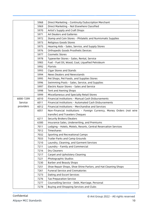|           | 5968 | Direct Marketing - Continuity/Subscription Merchant                   |  |  |  |
|-----------|------|-----------------------------------------------------------------------|--|--|--|
|           | 5969 | Direct Marketing - Not Elsewhere Classified                           |  |  |  |
|           | 5970 | Artist's Supply and Craft Shops                                       |  |  |  |
|           | 5971 | Art Dealers and Galleries                                             |  |  |  |
|           | 5972 | Stamp and Coin Stores - Philatelic and Numismatic Supplies            |  |  |  |
|           | 5973 | Religious Goods Stores                                                |  |  |  |
|           | 5975 | Hearing Aids - Sales, Service, and Supply Stores                      |  |  |  |
| 5976      |      | Orthopedic Goods Prosthetic Devices                                   |  |  |  |
| 5977      |      | <b>Cosmetic Stores</b>                                                |  |  |  |
| 5978      |      | Typewriter Stores - Sales, Rental, Service                            |  |  |  |
| 5983      |      | Fuel - Fuel Oil, Wood, Coal, Liquefied Petroleum                      |  |  |  |
| 5992      |      | Florists                                                              |  |  |  |
|           | 5993 | Cigar Stores and Stands                                               |  |  |  |
|           | 5994 | News Dealers and Newsstands                                           |  |  |  |
|           | 5995 | Pet Shops, Pet Foods, and Supplies Stores                             |  |  |  |
|           | 5996 | Swimming Pools - Sales, Service, and Supplies                         |  |  |  |
|           | 5997 | Electric Razor Stores - Sales and Service                             |  |  |  |
|           | 5998 | Tent and Awning Shops                                                 |  |  |  |
|           | 5999 | Miscellaneous and Specialty Retail Stores                             |  |  |  |
| 6000-7299 | 6010 | Financial Institutions - Manual Cash Disbursements                    |  |  |  |
| Service   | 6011 | Financial Institutions - Automated Cash Disbursements                 |  |  |  |
| providers | 6012 | Financial Institutions - Merchandise and Services                     |  |  |  |
|           | 6051 | Non-Financial Institutions - Foreign Currency, Money Orders (not wire |  |  |  |
|           |      | transfer) and Travelers Cheques                                       |  |  |  |
|           | 6211 | Security Brokers/Dealers                                              |  |  |  |
|           | 6300 | Insurance Sales, Underwriting, and Premiums                           |  |  |  |
|           | 7011 | Lodging - Hotels, Motels, Resorts, Central Reservation Services       |  |  |  |
|           | 7012 | Timeshares                                                            |  |  |  |
|           | 7032 | Sporting and Recreational Camps                                       |  |  |  |
|           | 7033 | Trailer Parks and Camp Grounds                                        |  |  |  |
|           | 7210 | Laundry, Cleaning, and Garment Services                               |  |  |  |
|           | 7211 | Laundry - Family and Commercial                                       |  |  |  |
|           | 7216 | Dry Cleaners                                                          |  |  |  |
|           | 7217 | Carpet and Upholstery Cleaning                                        |  |  |  |
|           | 7221 | Photographic Studios                                                  |  |  |  |
|           | 7230 | Barber and Beauty Shops                                               |  |  |  |
|           | 7251 | Shoe Repair Shops, Shoe Shine Parlors, and Hat Cleaning Shops         |  |  |  |
|           | 7261 | <b>Funeral Service and Crematories</b>                                |  |  |  |
|           | 7273 | Dating and Escort Services                                            |  |  |  |
|           | 7276 | <b>Tax Preparation Service</b>                                        |  |  |  |
|           | 7277 | Counselling Service - Debt, Marriage, Personal                        |  |  |  |
|           | 7278 | Buying and Shopping Services and Clubs                                |  |  |  |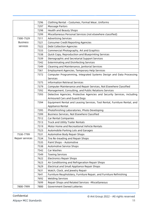|                 | 7296 | Clothing Rental - Costumes, Formal Wear, Uniforms                         |  |  |  |
|-----------------|------|---------------------------------------------------------------------------|--|--|--|
|                 | 7297 | Massage Parlors                                                           |  |  |  |
|                 | 7298 | Health and Beauty Shops                                                   |  |  |  |
| 7299            |      | Miscellaneous Personal Services (not elsewhere classified)                |  |  |  |
| 7300-7529       | 7311 | <b>Advertising Services</b>                                               |  |  |  |
| <b>Business</b> | 7321 | <b>Consumer Credit Reporting Agencies</b>                                 |  |  |  |
| services        | 7322 | Debt Collection Agencies                                                  |  |  |  |
|                 | 7333 | Commercial Photography, Art and Graphics                                  |  |  |  |
|                 | 7338 | Quick Copy, Reproduction and Blueprinting Services                        |  |  |  |
|                 | 7339 | Stenographic and Secretarial Support Services                             |  |  |  |
|                 | 7342 | <b>Exterminating and Disinfecting Services</b>                            |  |  |  |
|                 | 7349 | Cleaning and Maintenance, Janitorial Services                             |  |  |  |
|                 | 7361 | <b>Employment Agencies, Temporary Help Services</b>                       |  |  |  |
|                 | 7372 | Computer Programming, Integrated Systems Design and Data Processing       |  |  |  |
|                 |      | Services                                                                  |  |  |  |
|                 | 7375 | <b>Information Retrieval Services</b>                                     |  |  |  |
|                 | 7379 | Computer Maintenance and Repair Services, Not Elsewhere Classified        |  |  |  |
|                 | 7392 | Management, Consulting, and Public Relations Services                     |  |  |  |
|                 | 7393 | Detective Agencies, Protective Agencies and Security Services, including  |  |  |  |
|                 |      | Armoured Cars and Guard Dogs                                              |  |  |  |
|                 | 7394 | Equipment Rental and Leasing Services, Tool Rental, Furniture Rental, and |  |  |  |
|                 |      | Appliance Rental                                                          |  |  |  |
|                 | 7395 | Photofinishing Laboratories, Photo Developing                             |  |  |  |
|                 | 7399 | Business Services, Not Elsewhere Classified                               |  |  |  |
|                 | 7512 | Car Rental Companies                                                      |  |  |  |
|                 | 7513 | Truck and Utility Trailer Rentals                                         |  |  |  |
|                 | 7519 | Motor Home and Recreational Vehicle Rentals                               |  |  |  |
|                 | 7523 | Automobile Parking Lots and Garages                                       |  |  |  |
| 7530-7799       | 7531 | Automotive Body Repair Shops                                              |  |  |  |
| Repair services | 7534 | Tire Re-treading and Repair Shops                                         |  |  |  |
|                 | 7535 | Paint Shops - Automotive                                                  |  |  |  |
|                 | 7538 | Automotive Service Shops                                                  |  |  |  |
|                 | 7542 | Car Washes                                                                |  |  |  |
|                 | 7549 | <b>Towing Services</b>                                                    |  |  |  |
|                 | 7622 | <b>Electronics Repair Shops</b>                                           |  |  |  |
|                 | 7623 | Air Conditioning and Refrigeration Repair Shops                           |  |  |  |
|                 | 7629 | Electrical and Small Appliance Repair Shops                               |  |  |  |
|                 | 7631 | Watch, Clock, and Jewelry Repair                                          |  |  |  |
|                 | 7641 | Furniture Reupholstery, Furniture Repair, and Furniture Refinishing       |  |  |  |
|                 | 7692 | <b>Welding Services</b>                                                   |  |  |  |
|                 | 7699 | Repair Shops and Related Services -Miscellaneous                          |  |  |  |
| 7800-7999       | 7800 | Government Owned Lotteries                                                |  |  |  |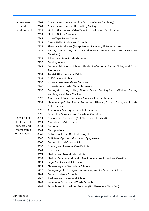| Amusement             | 7801 | Government-licensed Online Casinos (Online Gambling)                        |  |  |  |
|-----------------------|------|-----------------------------------------------------------------------------|--|--|--|
| and                   | 7802 | Government-licensed Horse/Dog Racing                                        |  |  |  |
| entertainment<br>7829 |      | Motion Pictures and Video Tape Production and Distribution                  |  |  |  |
|                       | 7832 | <b>Motion Picture Theaters</b>                                              |  |  |  |
|                       | 7841 | Video Tape Rental Stores                                                    |  |  |  |
|                       | 7911 | Dance Halls, Studios and Schools                                            |  |  |  |
|                       | 7922 | Theatrical Producers (Except Motion Pictures), Ticket Agencies              |  |  |  |
| 7929                  |      | Bands, Orchestras, and Miscellaneous Entertainers (Not Elsewhere            |  |  |  |
|                       |      | Classified)                                                                 |  |  |  |
| 7932                  |      | <b>Billiard and Pool Establishments</b>                                     |  |  |  |
|                       | 7933 | <b>Bowling Alleys</b>                                                       |  |  |  |
|                       | 7941 | Commercial Sports, Athletic Fields, Professional Sports Clubs, and Sport    |  |  |  |
|                       |      | Promoters                                                                   |  |  |  |
|                       | 7991 | <b>Tourist Attractions and Exhibits</b>                                     |  |  |  |
|                       | 7992 | Golf Courses - Public                                                       |  |  |  |
|                       | 7993 | Video Amusement Game Supplies                                               |  |  |  |
|                       | 7994 | Video Game Arcades/Establishments                                           |  |  |  |
|                       | 7995 | Betting (including Lottery Tickets, Casino Gaming Chips, Off-track Betting  |  |  |  |
|                       |      | and Wagers at Race Tracks)                                                  |  |  |  |
|                       | 7996 | Amusement Parks, Carnivals, Circuses, Fortune Tellers                       |  |  |  |
|                       | 7997 | Membership Clubs (Sports, Recreation, Athletic), Country Clubs, and Private |  |  |  |
|                       |      | <b>Golf Courses</b>                                                         |  |  |  |
|                       | 7998 | Aquariums, Sea-aquariums, Dolphinariums                                     |  |  |  |
|                       | 7999 | Recreation Services (Not Elsewhere Classified)                              |  |  |  |
| 8000-8999             | 8011 | Doctors and Physicians (Not Elsewhere Classified)                           |  |  |  |
| Professional          | 8021 | Dentists and Orthodontists                                                  |  |  |  |
| services and          | 8031 | Osteopaths                                                                  |  |  |  |
| membership            | 8041 | Chiropractors                                                               |  |  |  |
| organizations         | 8042 | Optometrists and Ophthalmologists                                           |  |  |  |
|                       | 8043 | Opticians, Opticians Goods and Eyeglasses                                   |  |  |  |
|                       | 8049 | Podiatrists and Chiropodists                                                |  |  |  |
|                       | 8050 | Nursing and Personal Care Facilities                                        |  |  |  |
|                       | 8062 | Hospitals                                                                   |  |  |  |
|                       | 8071 | <b>Medical and Dental Laboratories</b>                                      |  |  |  |
|                       | 8099 | Medical Services and Health Practitioners (Not Elsewhere Classified)        |  |  |  |
|                       | 8111 | Legal Services and Attorneys                                                |  |  |  |
|                       | 8211 | Elementary and Secondary Schools                                            |  |  |  |
|                       | 8220 | Colleges, Junior Colleges, Universities, and Professional Schools           |  |  |  |
|                       | 8241 | Correspondence Schools                                                      |  |  |  |
|                       | 8244 | <b>Business and Secretarial Schools</b>                                     |  |  |  |
|                       | 8249 | <b>Vocational Schools and Trade Schools</b>                                 |  |  |  |
|                       | 8299 | Schools and Educational Services (Not Elsewhere Classified)                 |  |  |  |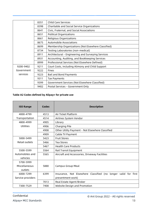|                                        | 8351 | <b>Child Care Services</b>                          |  |  |  |
|----------------------------------------|------|-----------------------------------------------------|--|--|--|
|                                        | 8398 | Charitable and Social Service Organizations         |  |  |  |
|                                        | 8641 | Civic, Fraternal, and Social Associations           |  |  |  |
|                                        | 8651 | Political Organizations                             |  |  |  |
| 8661                                   |      | Religious Organizations                             |  |  |  |
| <b>Automobile Associations</b><br>8675 |      |                                                     |  |  |  |
|                                        | 8699 | Membership Organizations (Not Elsewhere Classified) |  |  |  |
| 8734                                   |      | Testing Laboratories (non-medical)                  |  |  |  |
| 8911                                   |      | Architectural - Engineering and Surveying Services  |  |  |  |
|                                        | 8931 | Accounting, Auditing, and Bookkeeping Services      |  |  |  |
|                                        | 8999 | Professional Services (Not Elsewhere Defined)       |  |  |  |
| 9200-9402                              | 9211 | Court Costs, including Alimony and Child Support    |  |  |  |
| Government                             | 9222 | <b>Fines</b>                                        |  |  |  |
| services                               | 9223 | <b>Bail and Bond Payments</b>                       |  |  |  |
|                                        | 9311 | <b>Tax Payments</b>                                 |  |  |  |
|                                        | 9399 | Government Services (Not Elsewhere Classified)      |  |  |  |
|                                        | 9402 | Postal Services - Government Only                   |  |  |  |

#### <span id="page-13-0"></span>**Table A2 Codes defined by Alipay+ for private use**

| <b>ISO Range</b>  | Codes | <b>Description</b>                                             |
|-------------------|-------|----------------------------------------------------------------|
| 4000-4799         | 4513  | Air Ticket Platform                                            |
| Transportation    | 4514  | Airlines System Vendor                                         |
| 4800-4999         | 4905  | Library                                                        |
| Utilities         | 4906  | Charging Pile                                                  |
|                   | 4908  | Other Utility Payment - Not Elsewhere Classified               |
|                   | 4909  | Cable TV Payment                                               |
| 5000-5499         | 5423  | <b>Fruit Stores</b>                                            |
| Retail outlets    | 5466  | <b>Tea Stores</b>                                              |
|                   | 5467  | <b>Health Care Products</b>                                    |
| 5500-5599         | 5564  | Rail Transit Equipment                                         |
| Automobiles and   | 5565  | Aircraft and Accessories, Driveway Facilities                  |
| vehicles          |       |                                                                |
| 5700-5999         |       |                                                                |
| Miscellaneous     | 5880  | Campus Group Meal                                              |
| outlets           |       |                                                                |
| 6000-7299         | 6399  | Insurance, Not Elsewhere Classified (no longer valid for first |
| Service providers |       | presentment work)                                              |
|                   | 7013  | Real Estate Agent/Broker                                       |
| 7300-7529         | 7408  | Website Design and Promotion                                   |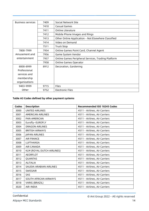| <b>Business services</b> | 7409 | Social Network Site                                 |
|--------------------------|------|-----------------------------------------------------|
|                          | 7410 | Casual Games                                        |
|                          | 7411 | Online Literature                                   |
|                          | 7412 | Mobile Phone Images and Rings                       |
|                          | 7413 | Other Online Application - Not Elsewhere Classified |
|                          | 7414 | Video on Demand                                     |
|                          | 7511 | Truck Stop                                          |
| 7800-7999                | 7954 | Online Games Point Card, Channel Agent              |
| Amusement and            | 7956 | Game System Vendor                                  |
| entertainment            | 7957 | Online Games Peripheral Services, Trading Platform  |
|                          | 7958 | <b>Online Games Operator</b>                        |
| 8000-8999                | 8912 | Decoration, Gardening                               |
| Professional             |      |                                                     |
| services and             |      |                                                     |
| membership               |      |                                                     |
| organizations            |      |                                                     |
| 9403-9999                | 9715 | <b>Files</b>                                        |
| Other                    | 9752 | <b>Electronic Files</b>                             |

#### <span id="page-14-0"></span>**Table A3 Codes defined by other payment systems**

| <b>Codes</b> | <b>Description</b>         | <b>Recommended ISO 18245 Codes</b> |
|--------------|----------------------------|------------------------------------|
| 3000         | <b>UNITED AIRLINES</b>     | 4511 - Airlines, Air Carriers      |
| 3001         | <b>AMERICAN AIRLINES</b>   | 4511 - Airlines, Air Carriers      |
| 3002         | PAN AMERICAN               | 4511 - Airlines, Air Carriers      |
| 3003         | Eurofly-EUROFLY            | 4511 - Airlines, Air Carriers      |
| 3004         | <b>DRAGON AIRLINES</b>     | 4511 - Airlines, Air Carriers      |
| 3005         | <b>BRITISH AIRWAYS</b>     | 4511 - Airlines, Air Carriers      |
| 3006         | JAPAN AIRLINES             | 4511 - Airlines, Air Carriers      |
| 3007         | <b>AIR FRANCE</b>          | 4511 - Airlines, Air Carriers      |
| 3008         | <b>LUFTHANSA</b>           | 4511 - Airlines, Air Carriers      |
| 3009         | <b>AIR CANADA</b>          | 4511 - Airlines, Air Carriers      |
| 3010         | KLM (ROYAL DUTCH AIRLINES) | 4511 - Airlines, Air Carriers      |
| 3011         | <b>AEORFLOT</b>            | 4511 - Airlines, Air Carriers      |
| 3012         | QUANTAS                    | 4511 - Airlines, Air Carriers      |
| 3013         | <b>ALITALIA</b>            | 4511 - Airlines, Air Carriers      |
| 3014         | SAUDIA ARABIAN AIRLINES    | 4511 - Airlines, Air Carriers      |
| 3015         | <b>SWISSAIR</b>            | 4511 - Airlines, Air Carriers      |
| 3016         | SAS                        | 4511 - Airlines, Air Carriers      |
| 3017         | SOUTH AFRICAN AIRWAYS      | 4511 - Airlines, Air Carriers      |
| 3018         | VARIG (BRAZIL)             | 4511 - Airlines, Air Carriers      |
| 3020         | AIR-INDIA                  | 4511 - Airlines, Air Carriers      |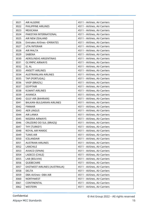| 3021 | <b>AIR ALGERIE</b>                | 4511 - Airlines, Air Carriers |
|------|-----------------------------------|-------------------------------|
| 3022 | PHILIPPINE AIRLINES               | 4511 - Airlines, Air Carriers |
| 3023 | MEXICANA                          | 4511 - Airlines, Air Carriers |
| 3024 | PAKISTAN INTERNATIONAL            | 4511 - Airlines, Air Carriers |
| 3025 | AIR NEW ZEALAND                   | 4511 - Airlines, Air Carriers |
| 3026 | <b>Emirates Airlines-EMIRATES</b> | 4511 - Airlines, Air Carriers |
| 3027 | UTA/INTERAIR                      | 4511 - Airlines, Air Carriers |
| 3028 | <b>AIR MALTA</b>                  | 4511 - Airlines, Air Carriers |
| 3029 | SABENA                            | 4511 - Airlines, Air Carriers |
| 3030 | AEROLINEAS ARGENTINAS             | 4511 - Airlines, Air Carriers |
| 3031 | <b>OLYMPIC AIRWAYS</b>            | 4511 - Airlines, Air Carriers |
| 3032 | EL AL                             | 4511 - Airlines, Air Carriers |
| 3033 | <b>ANSETT AIRLINES</b>            | 4511 - Airlines, Air Carriers |
| 3034 | <b>AUSTRAINLIAN AIRLINES</b>      | 4511 - Airlines, Air Carriers |
| 3035 | TAP (PORTUGAL)                    | 4511 - Airlines, Air Carriers |
| 3036 | VASP (BRAZIL)                     | 4511 - Airlines, Air Carriers |
| 3037 | <b>EGYPTAIR</b>                   | 4511 - Airlines, Air Carriers |
| 3038 | <b>KUWAIT AIRLINES</b>            | 4511 - Airlines, Air Carriers |
| 3039 | <b>AVIANCA</b>                    | 4511 - Airlines, Air Carriers |
| 3040 | <b>GULF AIR (BAHRAIN)</b>         | 4511 - Airlines, Air Carriers |
| 3041 | BALKAN-BULGARIAN AIRLINES         | 4511 - Airlines, Air Carriers |
| 3042 | <b>FINNAIR</b>                    | 4511 - Airlines, Air Carriers |
| 3043 | <b>AER LINGUS</b>                 | 4511 - Airlines, Air Carriers |
| 3044 | <b>AIR LANKA</b>                  | 4511 - Airlines, Air Carriers |
| 3045 | NIGERIA AIRWAYS                   | 4511 - Airlines, Air Carriers |
| 3046 | CRUZEIRO DO SUL (BRAZIJ)          | 4511 - Airlines, Air Carriers |
| 3047 | THY (TURKEY)                      | 4511 - Airlines, Air Carriers |
| 3048 | ROYAL AIR MAROC                   | 4511 - Airlines, Air Carriers |
| 3049 | <b>TUNIS AIR</b>                  | 4511 - Airlines, Air Carriers |
| 3050 | <b>ICELANDAIR</b>                 | 4511 - Airlines, Air Carriers |
| 3051 | <b>AUSTRIAN AIRLINES</b>          | 4511 - Airlines, Air Carriers |
| 3052 | LANCHILE                          | 4511 - Airlines, Air Carriers |
| 3053 | AVIACO (SPAIN)                    | 4511 - Airlines, Air Carriers |
| 3054 | LADECO (CHILE)                    | 4511 - Airlines, Air Carriers |
| 3055 | LAB (BOLIVIA)                     | 4511 - Airlines, Air Carriers |
| 3056 | QUEBECAIRE                        | 4511 - Airlines, Air Carriers |
| 3057 | EASTWEST AIRLINES (AUSTRALIA)     | 4511 - Airlines, Air Carriers |
| 3058 | <b>DELTA</b>                      | 4511 - Airlines, Air Carriers |
| 3059 | DBA Airlines-DBA AIR              | 4511 - Airlines, Air Carriers |
| 3060 | NORTHWEST                         | 4511 - Airlines, Air Carriers |
| 3061 | CONTINENTAL                       | 4511 - Airlines, Air Carriers |
| 3062 | WESTERN                           | 4511 - Airlines, Air Carriers |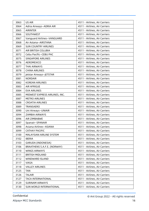| 3063 | US AIR                         | 4511 - Airlines, Air Carriers |
|------|--------------------------------|-------------------------------|
| 3064 | Adria Airways-ADRIA AIR        | 4511 - Airlines, Air Carriers |
| 3065 | <b>AIRINTER</b>                | 4511 - Airlines, Air Carriers |
| 3066 | SOUTHWEST                      | 4511 - Airlines, Air Carriers |
| 3067 | Vanguard Airlines-VANGUARD     | 4511 - Airlines, Air Carriers |
| 3068 | Air Astana-AIRSTANA            | 4511 - Airlines, Air Carriers |
| 3069 | <b>SUN COUNTRY AIRLINES</b>    | 4511 - Airlines, Air Carriers |
| 3071 | AIR BRITISH COLUBIA            | 4511 - Airlines, Air Carriers |
| 3072 | Cebu Pacific-CEBU PAC          | 4511 - Airlines, Air Carriers |
| 3075 | <b>SINGAPORE AIRLINES</b>      | 4511 - Airlines, Air Carriers |
| 3076 | AEROMEXICO                     | 4511 - Airlines, Air Carriers |
| 3077 | <b>THAI AIRWAYS</b>            | 4511 - Airlines, Air Carriers |
| 3078 | <b>CHINA AIRLINES</b>          | 4511 - Airlines, Air Carriers |
| 3079 | Jetstar Airways-JETSTAR        | 4511 - Airlines, Air Carriers |
| 3081 | <b>NORDAIR</b>                 | 4511 - Airlines, Air Carriers |
| 3082 | <b>KOREAN AIRLINES</b>         | 4511 - Airlines, Air Carriers |
| 3083 | <b>AIR AFRIGUE</b>             | 4511 - Airlines, Air Carriers |
| 3084 | <b>EVA AIRLINES</b>            | 4511 - Airlines, Air Carriers |
| 3085 | MIDWEST EXPRESS AIRLINES, INC. | 4511 - Airlines, Air Carriers |
| 3087 | <b>METRO AIRLINES</b>          | 4511 - Airlines, Air Carriers |
| 3088 | <b>CROATIA AIRLINES</b>        | 4511 - Airlines, Air Carriers |
| 3089 | <b>TRANSAERO</b>               | 4511 - Airlines, Air Carriers |
| 3090 | Uni Airways-UNIAIR             | 4511 - Airlines, Air Carriers |
| 3094 | <b>ZAMBIA AIRWAYS</b>          | 4511 - Airlines, Air Carriers |
| 3096 | AIR ZIMBABWE                   | 4511 - Airlines, Air Carriers |
| 3097 | Spanair-SPANAIR                | 4511 - Airlines, Air Carriers |
| 3098 | Asiana Airlines-ASIANA         | 4511 - Airlines, Air Carriers |
| 3099 | <b>CATHAY PACIFIC</b>          | 4511 - Airlines, Air Carriers |
| 3100 | MALAYSIAN AIRLINE SYSTEM       | 4511 - Airlines, Air Carriers |
| 3102 | <b>IBERIA</b>                  | 4511 - Airlines, Air Carriers |
| 3103 | GARUDA (INDONESIA)             | 4511 - Airlines, Air Carriers |
| 3106 | BRAATHENS S.A.F.E. (NORWAY)    | 4511 - Airlines, Air Carriers |
| 3110 | <b>WINGS AIRWAYS</b>           | 4511 - Airlines, Air Carriers |
| 3111 | <b>BRITISH MIDLAND</b>         | 4511 - Airlines, Air Carriers |
| 3112 | WINDWARD ISLAND                | 4511 - Airlines, Air Carriers |
| 3117 | <b>VIASA</b>                   | 4511 - Airlines, Air Carriers |
| 3118 | <b>VALLEY AIRLINES</b>         | 4511 - Airlines, Air Carriers |
| 3125 | <b>TAN</b>                     | 4511 - Airlines, Air Carriers |
| 3126 | <b>TALAIR</b>                  | 4511 - Airlines, Air Carriers |
| 3127 | TACA INTERNATIONAL             | 4511 - Airlines, Air Carriers |
| 3129 | <b>SURINAM AIRWAYS</b>         | 4511 - Airlines, Air Carriers |
| 3130 | SUN WORLD INTERNATIONAL        | 4511 - Airlines, Air Carriers |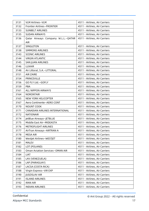| 3131 | VLM Airlines-VLM                   | 4511 - Airlines, Air Carriers |
|------|------------------------------------|-------------------------------|
| 3132 | Frontier Airlines-FRONTIER         | 4511 - Airlines, Air Carriers |
| 3133 | <b>SUNBELT AIRLINES</b>            | 4511 - Airlines, Air Carriers |
| 3135 | <b>SUDAN AIRWAYS</b>               | 4511 - Airlines, Air Carriers |
| 3136 | Qatar Airways Company W.L.L.-QATAR | 4511 - Airlines, Air Carriers |
|      | <b>AIR</b>                         |                               |
| 3137 | SINGLETON                          | 4511 - Airlines, Air Carriers |
| 3138 | <b>SIMMONS AIRLINES</b>            | 4511 - Airlines, Air Carriers |
| 3143 | <b>SCENIC AIRLINES</b>             | 4511 - Airlines, Air Carriers |
| 3144 | <b>VIRGIN ATLANTIC</b>             | 4511 - Airlines, Air Carriers |
| 3145 | <b>SAN JUAN AIRLINES</b>           | 4511 - Airlines, Air Carriers |
| 3146 | <b>LUXAIR</b>                      | 4511 - Airlines, Air Carriers |
| 3148 | Air Littoral, S.A.-LITTORAL        | 4511 - Airlines, Air Carriers |
| 3151 | <b>AIR ZAIRE</b>                   | 4511 - Airlines, Air Carriers |
| 3154 | PRINCEVILLE                        | 4511 - Airlines, Air Carriers |
| 3156 | GO FLY Ltd.-GOFLY                  | 4511 - Airlines, Air Carriers |
| 3159 | <b>PBA</b>                         | 4511 - Airlines, Air Carriers |
| 3161 | ALL NIPPON AIRWAYS                 | 4511 - Airlines, Air Carriers |
| 3164 | <b>NORONTAIR</b>                   | 4511 - Airlines, Air Carriers |
| 3165 | NEW YORK HELICOPTER                | 4511 - Airlines, Air Carriers |
| 3167 | Aero Continente-AERO CONT          | 4511 - Airlines, Air Carriers |
| 3170 | NOUNT COOK                         | 4511 - Airlines, Air Carriers |
| 3171 | CANADIAN AIRLINES INTERNATIONAL    | 4511 - Airlines, Air Carriers |
| 3172 | <b>NATIONAIR</b>                   | 4511 - Airlines, Air Carriers |
| 3174 | JetBlue Airways-JETBLUE            | 4511 - Airlines, Air Carriers |
| 3175 | Middle East Air-MIDEASTA           | 4511 - Airlines, Air Carriers |
| 3176 | METROFLIGHT AIRLINES               | 4511 - Airlines, Air Carriers |
| 3177 | AirTran Airways-AIRTRAN A          | 4511 - Airlines, Air Carriers |
| 3178 | MESA AIR                           | 4511 - Airlines, Air Carriers |
| 3180 | Westjet Airlines-WESTJET           | 4511 - Airlines, Air Carriers |
| 3181 | <b>MALEV</b>                       | 4511 - Airlines, Air Carriers |
| 3182 | LOT (POLAND)                       | 4511 - Airlines, Air Carriers |
| 3183 | Oman Aviation Services-OMAN AIR    | 4511 - Airlines, Air Carriers |
| 3184 | <b>LIAT</b>                        | 4511 - Airlines, Air Carriers |
| 3185 | LAV (VENEZUELA)                    | 4511 - Airlines, Air Carriers |
| 3186 | LAP (PARAGUAY)                     | 4511 - Airlines, Air Carriers |
| 3187 | LACSA (COSTA RICA)                 | 4511 - Airlines, Air Carriers |
| 3188 | Virgin Express-VIR EXP             | 4511 - Airlines, Air Carriers |
| 3190 | <b>JUGOSLAV AIR</b>                | 4511 - Airlines, Air Carriers |
| 3191 | <b>ISLAND AIRLINES</b>             | 4511 - Airlines, Air Carriers |
| 3192 | <b>IRAN AIR</b>                    | 4511 - Airlines, Air Carriers |
| 3193 | <b>INDIAN AIRLINES</b>             | 4511 - Airlines, Air Carriers |
|      |                                    |                               |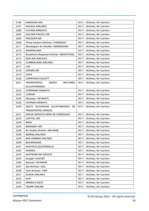| 3196 | <b>HAWAIIAN AIR</b>                                    | 4511 - Airlines, Air Carriers |
|------|--------------------------------------------------------|-------------------------------|
| 3197 | <b>HAVASU AIRLINES</b>                                 | 4511 - Airlines, Air Carriers |
| 3200 | <b>FUYANA AIRWAYS</b>                                  | 4511 - Airlines, Air Carriers |
| 3203 | <b>GOLDEN PACIFIC AIR</b>                              | 4511 - Airlines, Air Carriers |
| 3204 | <b>FREEDOM AIR</b>                                     | 4511 - Airlines, Air Carriers |
| 3206 | China Eastern Airlines-CHINAEAST                       | 4511 - Airlines, Air Carriers |
| 3211 | Norwegian Air Shuttle-NORWEGIAN                        | 4511 - Airlines, Air Carriers |
| 3212 | <b>DOMINICANA</b>                                      | 4511 - Airlines, Air Carriers |
| 3213 | Braathens Regional Airlines-BRAATHENS                  | 4511 - Airlines, Air Carriers |
| 3215 | <b>DAN AIR SERVICES</b>                                | 4511 - Airlines, Air Carriers |
| 3216 | <b>CUMBERLAND AIRLINES</b>                             | 4511 - Airlines, Air Carriers |
| 3217 | <b>CSA</b>                                             | 4511 - Airlines, Air Carriers |
| 3218 | <b>CROWN AIR</b>                                       | 4511 - Airlines, Air Carriers |
| 3219 | <b>COPA</b>                                            | 4511 - Airlines, Air Carriers |
| 3220 | <b>COMPANIA FAUCETT</b>                                | 4511 - Airlines, Air Carriers |
| 3221 | <b>TRANSPORTES</b><br><b>AEROS</b><br><b>MILITARES</b> | 4511 - Airlines, Air Carriers |
|      | <b>ECCUATORANOS</b>                                    |                               |
| 3222 | <b>COMMAND AIRWAYS</b>                                 | 4511 - Airlines, Air Carriers |
| 3223 | <b>COMAIR</b>                                          | 4511 - Airlines, Air Carriers |
| 3226 | Skyways-SKYWAYS                                        | 4511 - Airlines, Air Carriers |
| 3228 | <b>CAYMAN AIRWAYS</b>                                  | 4511 - Airlines, Air Carriers |
| 3229 | SAETA SOCIAEDAD ECUATORIANOS<br>DE                     | 4511 - Airlines, Air Carriers |
|      | <b>TRANSPORTES AEREOS</b>                              |                               |
| 3231 | SASHA SERVICIO AERO DE HONDURAS                        | 4511 - Airlines, Air Carriers |
| 3233 | <b>CAPITOL AIR</b>                                     | 4511 - Airlines, Air Carriers |
| 3234 | <b>BWIA</b>                                            | 4511 - Airlines, Air Carriers |
| 3235 | <b>BROKWAY AIR</b>                                     | 4511 - Airlines, Air Carriers |
| 3236 | Air Arabia Airline-AIR ARAB                            | 4511 - Airlines, Air Carriers |
| 3238 | <b>BEMIDJI AIRLINES</b>                                | 4511 - Airlines, Air Carriers |
| 3239 | <b>BAR HARBOR AIRLINES</b>                             | 4511 - Airlines, Air Carriers |
| 3240 | <b>BAHAMASAIR</b>                                      | 4511 - Airlines, Air Carriers |
| 3241 | AVIATECA (GUATEMALA)                                   | 4511 - Airlines, Air Carriers |
| 3242 | <b>AVENSA</b>                                          | 4511 - Airlines, Air Carriers |
| 3243 | <b>AUSTRIAN AIR SERVICE</b>                            | 4511 - Airlines, Air Carriers |
| 3245 | EasyJet-EASYJET                                        | 4511 - Airlines, Air Carriers |
| 3246 | Ryanair-RYANAIR                                        | 4511 - Airlines, Air Carriers |
| 3247 | Gol Airlines-GOL                                       | 4511 - Airlines, Air Carriers |
| 3248 | Tam Airlines-TAM                                       | 4511 - Airlines, Air Carriers |
| 3251 | <b>ALOHA AIRLINES</b>                                  | 4511 - Airlines, Air Carriers |
| 3252 | <b>ALM</b>                                             | 4511 - Airlines, Air Carriers |
| 3253 | AMERICA WEST                                           | 4511 - Airlines, Air Carriers |
| 3254 | <b>TRUMP AIRLINE</b>                                   | 4511 - Airlines, Air Carriers |
|      |                                                        |                               |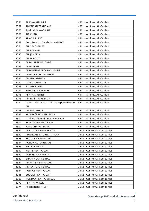| 3256 | <b>ALASKA AIRLINES</b>             | 4511 - Airlines, Air Carriers |
|------|------------------------------------|-------------------------------|
| 3259 | <b>AMERICAN TRANS AIR</b>          | 4511 - Airlines, Air Carriers |
| 3260 | Spirit Airlines-SPIRIT             | 4511 - Airlines, Air Carriers |
| 3261 | <b>AIR CHINA</b>                   | 4511 - Airlines, Air Carriers |
| 3262 | RENO AIR, INC.                     | 4511 - Airlines, Air Carriers |
| 3263 | Aero Servicio Carabobo-ASERCA      | 4511 - Airlines, Air Carriers |
| 3266 | AIR SEYCHELLES                     | 4511 - Airlines, Air Carriers |
| 3267 | <b>AIR PANAMA</b>                  | 4511 - Airlines, Air Carriers |
| 3280 | AIR JAMAICA                        | 4511 - Airlines, Air Carriers |
| 3282 | AIR DJIBOUTI                       | 4511 - Airlines, Air Carriers |
| 3284 | AERO VIRGIN ISLANDS                | 4511 - Airlines, Air Carriers |
| 3285 | <b>AERO PERU</b>                   | 4511 - Airlines, Air Carriers |
| 3286 | AEROLINEAS NICARAGUENSIS           | 4511 - Airlines, Air Carriers |
| 3287 | AERO COACH AVAIATION               | 4511 - Airlines, Air Carriers |
| 3291 | ARIANA AFGHAN                      | 4511 - Airlines, Air Carriers |
| 3292 | <b>CYPRUS AIRWAYS</b>              | 4511 - Airlines, Air Carriers |
| 3293 | <b>ECUATORIANA</b>                 | 4511 - Airlines, Air Carriers |
| 3294 | <b>ETHIOPIAN AIRLINES</b>          | 4511 - Airlines, Air Carriers |
| 3295 | <b>KENYA AIRLINES</b>              | 4511 - Airlines, Air Carriers |
| 3296 | Air Berlin-AIRBERLIN               | 4511 - Airlines, Air Carriers |
| 3297 | Tarom Romanian Air Transport-TAROM | 4511 - Airlines, Air Carriers |
|      | <b>AIR</b>                         |                               |
| 3298 | <b>AIR MAURITIUS</b>               | 4511 - Airlines, Air Carriers |
| 3299 | WIDERO'S FLYVESELSKAP              | 4511 - Airlines, Air Carriers |
| 3300 | Azul Brazilian Airlines-AZUL AIR   | 4511 - Airlines, Air Carriers |
| 3301 | Wizz Airlines-WIZZ AIR             | 4511 - Airlines, Air Carriers |
| 3302 | Flybe LTD-FLYBEAIR                 | 4511 - Airlines, Air Carriers |
| 3351 | AFFILIATED AUTO RENTAL             | 7512 - Car Rental Companies   |
| 3352 | AMERICAN INTL RENT-A-CAR           | 7512 - Car Rental Companies   |
| 3353 | <b>BROOKS RENT-A-CAR</b>           | 7512 - Car Rental Companies   |
| 3354 | <b>ACTION AUTO RENTAL</b>          | 7512 - Car Rental Companies   |
| 3355 | SIXT Car Rental                    | 7512 - Car Rental Companies   |
| 3357 | <b>HERTZ RENT-A-CAR</b>            | 7512 - Car Rental Companies   |
| 3359 | PAYLESS CAR RENTAL                 | 7512 - Car Rental Companies   |
| 3360 | <b>SNAPPY CAR RENTAL</b>           | 7512 - Car Rental Companies   |
| 3361 | <b>AIRWAYS RENT-A-CAR</b>          | 7512 - Car Rental Companies   |
| 3362 | ALTRA AUTO RENTAL                  | 7512 - Car Rental Companies   |
| 3364 | <b>AGENCY RENT-A-CAR</b>           | 7512 - Car Rental Companies   |
| 3366 | <b>BUDGET RENT-A-CAR</b>           | 7512 - Car Rental Companies   |
| 3368 | <b>HOLIDAY RENT-A-WRECK</b>        | 7512 - Car Rental Companies   |
| 3370 | RENT-A-WRECK                       | 7512 - Car Rental Companies   |
| 3374 | Accent Rent-A-Car                  | 7512 - Car Rental Companies   |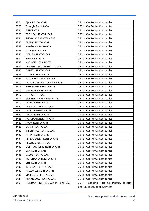| 3376 | AJAX RENT-A-CAR                   | 7512 - Car Rental Companies               |
|------|-----------------------------------|-------------------------------------------|
| 3380 | Triangle Rent-A-Car               | 7512 - Car Rental Companies               |
| 3381 | <b>EUROP CAR</b>                  | 7512 - Car Rental Companies               |
| 3385 | <b>TROPICAL RENT-A-CAR</b>        | 7512 - Car Rental Companies               |
| 3386 | SHOWCASE RENTAL CARS              | 7512 - Car Rental Companies               |
| 3387 | ALAMO RENT-A-CAR                  | 7512 - Car Rental Companies               |
| 3388 | Merchants Rent-A-Car              | 7512 - Car Rental Companies               |
| 3389 | <b>AVIS RENT-A-CAR</b>            | 7512 - Car Rental Companies               |
| 3390 | <b>DOLLAR RENT-A-CAR</b>          | 7512 - Car Rental Companies               |
| 3391 | <b>EUROPE BY CAR</b>              | 7512 - Car Rental Companies               |
| 3393 | NATIONAL CAR RENTAL               | 7512 - Car Rental Companies               |
| 3394 | KEMWELL GROUP RENT-A-CAR          | 7512 - Car Rental Companies               |
| 3395 | THRIFTY RENT-A-CAR                | 7512 - Car Rental Companies               |
| 3396 | <b>TILDEN TENT-A-CAR</b>          | 7512 - Car Rental Companies               |
| 3398 | ECONO-CAR RENT-A-CAR              | 7512 - Car Rental Companies               |
| 3400 | AUTO HOST COST CAR RENTALS        | 7512 - Car Rental Companies               |
| 3405 | <b>ENTERPRISE RENT-A-CAR</b>      | 7512 - Car Rental Companies               |
| 3409 | <b>GENERAL RENT-A-CAR</b>         | 7512 - Car Rental Companies               |
| 3412 | A-1 RENT-A-CAR                    | 7512 - Car Rental Companies               |
| 3414 | <b>GODFREY NATL RENT-A-CAR</b>    | 7512 - Car Rental Companies               |
| 3419 | ALPHA RENT-A-CAR                  | 7512 - Car Rental Companies               |
| 3420 | ANSA INTL RENT-A-CAR              | 7512 - Car Rental Companies               |
| 3421 | ALLSTAE RENT-A-CAR                | 7512 - Car Rental Companies               |
| 3423 | AVCAR RENT-A-CAR                  | 7512 - Car Rental Companies               |
| 3425 | <b>AUTOMATE RENT-A-CAR</b>        | 7512 - Car Rental Companies               |
| 3427 | AVON RENT-A-CAR                   | 7512 - Car Rental Companies               |
| 3428 | <b>CAREY RENT-A-CAR</b>           | 7512 - Car Rental Companies               |
| 3429 | <b>INSURANCE RENT-A-CAR</b>       | 7512 - Car Rental Companies               |
| 3430 | MAJOR RENT-A-CAR                  | 7512 - Car Rental Companies               |
| 3431 | REPLACEMENT RENT-A-CAR            | 7512 - Car Rental Companies               |
| 3432 | RESERVE RENT-A-CAR                | 7512 - Car Rental Companies               |
| 3433 | UGLY DUCKLING RENT-A-CAR          | 7512 - Car Rental Companies               |
| 3434 | USA RENT-A-CAR                    | 7512 - Car Rental Companies               |
| 3435 | <b>VALUE RENT-A-CAR</b>           | 7512 - Car Rental Companies               |
| 3436 | <b>AUTOHANSA RENT-A-CAR</b>       | 7512 - Car Rental Companies               |
| 3437 | <b>CITE RENT-A-CAR</b>            | 7512 - Car Rental Companies               |
| 3438 | <b>INTERENT RENT-A-CAR</b>        | 7512 - Car Rental Companies               |
| 3439 | MILLEVILLE RENT-A-CAR             | 7512 - Car Rental Companies               |
| 3440 | <b>VIA ROUTE RENT-A-CAR</b>       | 7512 - Car Rental Companies               |
| 3441 | ADVANTAGE RENT-A-CAR              | 7512 - Car Rental Companies               |
| 3501 | HOLIDAY INNS, HOLIDAY INN EXPRESS | 7011 - Lodging - Hotels, Motels, Resorts, |
|      |                                   | <b>Central Reservation Services</b>       |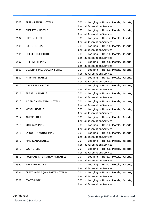| 3502 | <b>BEST WESTERN HOTELS</b>             | 7011 - Lodging - Hotels, Motels, Resorts,<br><b>Central Reservation Services</b> |
|------|----------------------------------------|----------------------------------------------------------------------------------|
| 3503 | <b>SHERATON HOTELS</b>                 | 7011 - Lodging - Hotels, Motels, Resorts,                                        |
|      |                                        | <b>Central Reservation Services</b>                                              |
| 3504 | <b>HILTON HOTELS</b>                   | 7011 - Lodging - Hotels, Motels, Resorts,                                        |
|      |                                        | <b>Central Reservation Services</b>                                              |
| 3505 | <b>FORTE HOTELS</b>                    | 7011 - Lodging - Hotels, Motels, Resorts,                                        |
|      |                                        | <b>Central Reservation Services</b>                                              |
| 3506 | <b>GOLDEN TULIP HOTELS</b>             | 7011 - Lodging - Hotels, Motels, Resorts,                                        |
|      |                                        | <b>Central Reservation Services</b>                                              |
|      |                                        |                                                                                  |
| 3507 | <b>FRIENDSHIP INNS</b>                 | 7011 - Lodging - Hotels, Motels, Resorts,                                        |
|      |                                        | <b>Central Reservation Services</b>                                              |
| 3508 | QUALITY INNS, QUALITY SUITES           | 7011 - Lodging - Hotels, Motels, Resorts,                                        |
|      |                                        | <b>Central Reservation Services</b>                                              |
| 3509 | <b>MARRIOTT HOTELS</b>                 | 7011 - Lodging - Hotels, Motels, Resorts,                                        |
|      |                                        | <b>Central Reservation Services</b>                                              |
| 3510 | DAYS INN, DAYSTOP                      | 7011 - Lodging - Hotels, Motels, Resorts,                                        |
|      |                                        | <b>Central Reservation Services</b>                                              |
| 3511 | <b>ARABELLA HOTELS</b>                 | 7011 - Lodging - Hotels, Motels, Resorts,                                        |
|      |                                        | <b>Central Reservation Services</b>                                              |
| 3512 | <b>INTER-CONTINENTAL HOTELS</b>        | 7011 - Lodging - Hotels, Motels, Resorts,                                        |
|      |                                        | <b>Central Reservation Services</b>                                              |
| 3513 | <b>WESTIN HOTELS</b>                   | 7011 - Lodging - Hotels, Motels, Resorts,                                        |
|      |                                        | <b>Central Reservation Services</b>                                              |
| 3514 | <b>AMERISUITES</b>                     | 7011 - Lodging - Hotels, Motels, Resorts,                                        |
|      |                                        | <b>Central Reservation Services</b>                                              |
| 3515 | <b>RODEWAY INNS</b>                    | 7011 - Lodging - Hotels, Motels, Resorts,                                        |
|      |                                        | <b>Central Reservation Services</b>                                              |
| 3516 | LA QUINTA MOTOR INNS                   | 7011 - Lodging - Hotels, Motels, Resorts,                                        |
|      |                                        | <b>Central Reservation Services</b>                                              |
| 3517 | AMERICANA HOTELS                       | 7011 - Lodging - Hotels, Motels, Resorts,                                        |
|      |                                        | <b>Central Reservation Services</b>                                              |
| 3518 | <b>SOL HOTELS</b>                      | 7011 - Lodging - Hotels, Motels, Resorts,                                        |
|      |                                        | <b>Central Reservation Services</b>                                              |
| 3519 | PULLMAN INTERNATIONAL HOTELS           | 7011 - Lodging - Hotels, Motels, Resorts,                                        |
|      |                                        | <b>Central Reservation Services</b>                                              |
| 3520 | <b>MERIDIEN HOTELS</b>                 | 7011 - Lodging - Hotels, Motels, Resorts,                                        |
|      |                                        | <b>Central Reservation Services</b>                                              |
|      |                                        |                                                                                  |
| 3521 | <b>CREST HOTELS (see FORTE HOTELS)</b> | 7011 - Lodging - Hotels, Motels, Resorts,                                        |
|      |                                        | <b>Central Reservation Services</b>                                              |
| 3522 | <b>TOKYO HOTEL</b>                     | 7011 - Lodging - Hotels, Motels, Resorts,                                        |
|      |                                        | <b>Central Reservation Services</b>                                              |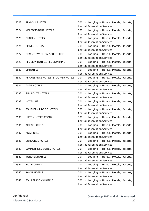| 3523 | <b>PENNSULA HOTEL</b>               | 7011 - Lodging - Hotels, Motels, Resorts,<br><b>Central Reservation Services</b> |
|------|-------------------------------------|----------------------------------------------------------------------------------|
| 3524 | <b>WELCOMGROUP HOTELS</b>           | 7011 - Lodging - Hotels, Motels, Resorts,                                        |
|      |                                     | <b>Central Reservation Services</b>                                              |
| 3525 | <b>DUNFEY HOTELS</b>                | 7011 - Lodging - Hotels, Motels, Resorts,                                        |
|      |                                     | <b>Central Reservation Services</b>                                              |
| 3526 | <b>PRINCE HOTELS</b>                | 7011 - Lodging - Hotels, Motels, Resorts,                                        |
|      |                                     | <b>Central Reservation Services</b>                                              |
| 3527 | DOWNTOWNER-PASSPORT HOTEL           | 7011 - Lodging - Hotels, Motels, Resorts,                                        |
|      |                                     | <b>Central Reservation Services</b>                                              |
| 3528 | RED LION HOTELS, RED LION INNS      | 7011 - Lodging - Hotels, Motels, Resorts,                                        |
|      |                                     | <b>Central Reservation Services</b>                                              |
| 3529 | <b>CP HOTELS</b>                    | 7011 - Lodging - Hotels, Motels, Resorts,                                        |
|      |                                     | <b>Central Reservation Services</b>                                              |
|      |                                     |                                                                                  |
| 3530 | RENAISSANCE HOTELS, STOUFFER HOTELS | 7011 - Lodging - Hotels, Motels, Resorts,<br><b>Central Reservation Services</b> |
| 3531 | <b>ASTIR HOTELS</b>                 |                                                                                  |
|      |                                     | 7011 - Lodging - Hotels, Motels, Resorts,                                        |
|      |                                     | <b>Central Reservation Services</b>                                              |
| 3532 | <b>SUN ROUTE HOTELS</b>             | 7011 - Lodging - Hotels, Motels, Resorts,                                        |
|      |                                     | <b>Central Reservation Services</b>                                              |
| 3533 | <b>HOTEL IBIS</b>                   | 7011 - Lodging - Hotels, Motels, Resorts,                                        |
|      |                                     | <b>Central Reservation Services</b>                                              |
| 3534 | SOUTHERN PACIFIC HOTELS             | 7011 - Lodging - Hotels, Motels, Resorts,                                        |
|      |                                     | <b>Central Reservation Services</b>                                              |
| 3535 | HILTON INTERNATIONAL                | 7011 - Lodging - Hotels, Motels, Resorts,                                        |
|      |                                     | <b>Central Reservation Services</b>                                              |
| 3536 | <b>AMFAC HOTELS</b>                 | 7011 - Lodging - Hotels, Motels, Resorts,                                        |
|      |                                     | <b>Central Reservation Services</b>                                              |
| 3537 | <b>ANA HOTEL</b>                    | 7011 - Lodging - Hotels, Motels, Resorts,                                        |
|      |                                     | <b>Central Reservation Services</b>                                              |
| 3538 | <b>CONCORDE HOTELS</b>              | 7011 - Lodging - Hotels, Motels, Resorts,                                        |
|      |                                     | <b>Central Reservation Services</b>                                              |
| 3539 | SUMMERFIELD SUITES HOTELS           | 7011 - Lodging - Hotels, Motels, Resorts,                                        |
|      |                                     | <b>Central Reservation Services</b>                                              |
| 3540 | <b>IBEROTEL HOTELS</b>              | 7011 - Lodging - Hotels, Motels, Resorts,                                        |
|      |                                     | <b>Central Reservation Services</b>                                              |
| 3541 | <b>HOTEL OKURA</b>                  | 7011 - Lodging - Hotels, Motels, Resorts,                                        |
|      |                                     | <b>Central Reservation Services</b>                                              |
| 3542 | ROYAL HOTELS                        | 7011 - Lodging - Hotels, Motels, Resorts,                                        |
|      |                                     | <b>Central Reservation Services</b>                                              |
| 3543 | <b>FOUR SEASONS HOTELS</b>          | 7011 - Lodging - Hotels, Motels, Resorts,                                        |
|      |                                     | <b>Central Reservation Services</b>                                              |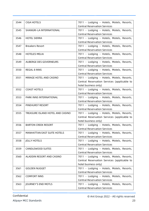| 3544 | <b>CIGA HOTELS</b>               | 7011 - Lodging - Hotels, Motels, Resorts,<br><b>Central Reservation Services</b> |
|------|----------------------------------|----------------------------------------------------------------------------------|
|      |                                  |                                                                                  |
| 3545 | SHANGRI-LA INTERNATIONAL         | 7011 - Lodging - Hotels, Motels, Resorts,<br><b>Central Reservation Services</b> |
| 3546 | <b>HOTEL SIERRA</b>              | 7011 - Lodging - Hotels, Motels, Resorts,                                        |
|      |                                  | <b>Central Reservation Services</b>                                              |
|      |                                  |                                                                                  |
| 3547 | <b>Breakers Resort</b>           | 7011 - Lodging - Hotels, Motels, Resorts,<br><b>Central Reservation Services</b> |
| 3548 | <b>HOTELES MELIA</b>             | 7011 - Lodging - Hotels, Motels, Resorts,                                        |
|      |                                  | <b>Central Reservation Services</b>                                              |
|      |                                  |                                                                                  |
| 3549 | AUBERGE DES GOVERNEURS           | 7011 - Lodging - Hotels, Motels, Resorts,                                        |
|      |                                  | <b>Central Reservation Services</b>                                              |
| 3550 | <b>REGAL 8 INNS</b>              | 7011 - Lodging - Hotels, Motels, Resorts,                                        |
|      |                                  | <b>Central Reservation Services</b>                                              |
| 3551 | MIRAGE HOTEL AND CASINO          | 7011 - Lodging - Hotels, Motels, Resorts,                                        |
|      |                                  | Central Reservation Services (applicable to                                      |
|      |                                  | hotel business only)                                                             |
| 3552 | <b>COAST HOTELS</b>              | 7011 - Lodging - Hotels, Motels, Resorts,                                        |
|      |                                  | <b>Central Reservation Services</b>                                              |
| 3553 | PARK INNS INTERNATIONAL          | 7011 - Lodging - Hotels, Motels, Resorts,                                        |
|      |                                  | <b>Central Reservation Services</b>                                              |
| 3554 | PINEHURST RESORT                 | 7011 - Lodging - Hotels, Motels, Resorts,                                        |
|      |                                  | <b>Central Reservation Services</b>                                              |
| 3555 | TREASURE ISLAND HOTEL AND CASINO | 7011 - Lodging - Hotels, Motels, Resorts,                                        |
|      |                                  | Central Reservation Services (applicable to                                      |
|      |                                  | hotel business only)                                                             |
| 3556 | <b>BARTON CREEK RESORT</b>       | 7011 - Lodging - Hotels, Motels, Resorts,                                        |
|      |                                  | <b>Central Reservation Services</b>                                              |
| 3557 | MANHATTAN EAST SUITE HOTELS      | 7011 - Lodging - Hotels, Motels, Resorts,                                        |
|      |                                  | <b>Central Reservation Services</b>                                              |
| 3558 | <b>JOLLY HOTELS</b>              | 7011 - Lodging - Hotels, Motels, Resorts,                                        |
|      |                                  | <b>Central Reservation Services</b>                                              |
| 3559 | CANDLEWOOD SUITES                | 7011 - Lodging - Hotels, Motels, Resorts,                                        |
|      |                                  | <b>Central Reservation Services</b>                                              |
| 3560 | ALADDIN RESORT AND CASINO        | 7011 - Lodging - Hotels, Motels, Resorts,                                        |
|      |                                  |                                                                                  |
|      |                                  | Central Reservation Services (applicable to                                      |
|      |                                  | hotel business only)                                                             |
| 3561 | <b>GOLDEN NUGGET</b>             | 7011 - Lodging - Hotels, Motels, Resorts,                                        |
|      |                                  | <b>Central Reservation Services</b>                                              |
| 3562 | <b>COMFORT INNS</b>              | 7011 - Lodging - Hotels, Motels, Resorts,                                        |
|      |                                  | <b>Central Reservation Services</b>                                              |
| 3563 | JOURNEY'S END MOTLS              | 7011 - Lodging - Hotels, Motels, Resorts,                                        |
|      |                                  | <b>Central Reservation Services</b>                                              |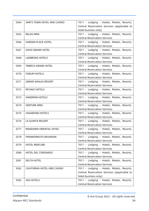| 3564 | SAM'S TOWN HOTEL AND CASINO | 7011 - Lodging - Hotels, Motels, Resorts,   |
|------|-----------------------------|---------------------------------------------|
|      |                             | Central Reservation Services (applicable to |
|      |                             | hotel business only)                        |
| 3565 | <b>RELAX INNS</b>           | 7011 - Lodging - Hotels, Motels, Resorts,   |
|      |                             | <b>Central Reservation Services</b>         |
| 3566 | <b>GARDEN PLACE HOTEL</b>   | 7011 - Lodging - Hotels, Motels, Resorts,   |
|      |                             | <b>Central Reservation Services</b>         |
| 3567 | <b>SOHO GRAND HOTEL</b>     | 7011 - Lodging - Hotels, Motels, Resorts,   |
|      |                             | <b>Central Reservation Services</b>         |
| 3568 | <b>LADBROKE HOTELS</b>      | 7011 - Lodging - Hotels, Motels, Resorts,   |
|      |                             | <b>Central Reservation Services</b>         |
| 3569 | TRIBECA GRAND HOTEL         | 7011 - Lodging - Hotels, Motels, Resorts,   |
|      |                             | <b>Central Reservation Services</b>         |
| 3570 | <b>FORUM HOTELS</b>         | 7011 - Lodging - Hotels, Motels, Resorts,   |
|      |                             | <b>Central Reservation Services</b>         |
| 3571 | <b>GRAND WAILEA RESORT</b>  | 7011 - Lodging - Hotels, Motels, Resorts,   |
|      |                             | <b>Central Reservation Services</b>         |
| 3572 | <b>MIYAKO HOTELS</b>        | 7011 - Lodging - Hotels, Motels, Resorts,   |
|      |                             | <b>Central Reservation Services</b>         |
| 3573 | <b>SANDMAN HOTELS</b>       | 7011 - Lodging - Hotels, Motels, Resorts,   |
|      |                             | <b>Central Reservation Services</b>         |
| 3574 | <b>VENTURE INNS</b>         | 7011 - Lodging - Hotels, Motels, Resorts,   |
|      |                             | <b>Central Reservation Services</b>         |
| 3575 | <b>VAGABOND HOTELS</b>      | 7011 - Lodging - Hotels, Motels, Resorts,   |
|      |                             | <b>Central Reservation Services</b>         |
| 3576 | LA QUINTA RESORT            | 7011 - Lodging - Hotels, Motels, Resorts,   |
|      |                             | <b>Central Reservation Services</b>         |
| 3577 | MANDARIN ORIENTAL HOTEL     | 7011 - Lodging - Hotels, Motels, Resorts,   |
|      |                             | <b>Central Reservation Services</b>         |
| 3578 | FRANKENMUTH BAVARIAN        | 7011 - Lodging - Hotels, Motels, Resorts,   |
|      |                             | <b>Central Reservation Services</b>         |
| 3579 | <b>HOTEL MERCURE</b>        | 7011 - Lodging - Hotels, Motels, Resorts,   |
|      |                             | <b>Central Reservation Services</b>         |
| 3580 | HOTEL DEL CORONADO          | 7011 - Lodging - Hotels, Motels, Resorts,   |
|      |                             | <b>Central Reservation Services</b>         |
| 3581 | <b>DELTA HOTEL</b>          | 7011 - Lodging - Hotels, Motels, Resorts,   |
|      |                             | <b>Central Reservation Services</b>         |
| 3582 | CALIFORNIA HOTEL AND CASINO | 7011 - Lodging - Hotels, Motels, Resorts,   |
|      |                             | Central Reservation Services (applicable to |
|      |                             | hotel business only)                        |
| 3583 | <b>SAS HOTELS</b>           | 7011 - Lodging - Hotels, Motels, Resorts,   |
|      |                             | <b>Central Reservation Services</b>         |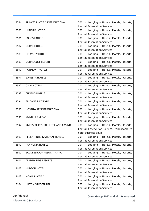| 3584 |                                   |                                             |
|------|-----------------------------------|---------------------------------------------|
|      | PRINCESS HOTELS INTERNATIONAL     | 7011 - Lodging - Hotels, Motels, Resorts,   |
|      |                                   | <b>Central Reservation Services</b>         |
| 3585 | <b>HUNGAR HOTELS</b>              | 7011 - Lodging - Hotels, Motels, Resorts,   |
|      |                                   | <b>Central Reservation Services</b>         |
| 3586 | <b>SOKOS HOTELS</b>               | 7011 - Lodging - Hotels, Motels, Resorts,   |
|      |                                   | <b>Central Reservation Services</b>         |
| 3587 | <b>DORAL HOTELS</b>               | 7011 - Lodging - Hotels, Motels, Resorts,   |
|      |                                   | <b>Central Reservation Services</b>         |
| 3588 | <b>HELMSLEY HOTELS</b>            | 7011 - Lodging - Hotels, Motels, Resorts,   |
|      |                                   | <b>Central Reservation Services</b>         |
| 3589 | DORAL GOLF RESORT                 | 7011 - Lodging - Hotels, Motels, Resorts,   |
|      |                                   | <b>Central Reservation Services</b>         |
| 3590 | <b>FAIRMONT HOTELS</b>            | 7011 - Lodging - Hotels, Motels, Resorts,   |
|      |                                   | <b>Central Reservation Services</b>         |
| 3591 | <b>SONESTA HOTELS</b>             | 7011 - Lodging - Hotels, Motels, Resorts,   |
|      |                                   | <b>Central Reservation Services</b>         |
| 3592 | <b>OMNI HOTELS</b>                | 7011 - Lodging - Hotels, Motels, Resorts,   |
|      |                                   | <b>Central Reservation Services</b>         |
| 3593 | <b>CUNARD HOTELS</b>              | 7011 - Lodging - Hotels, Motels, Resorts,   |
|      |                                   | <b>Central Reservation Services</b>         |
| 3594 | ARIZONA BILTMORE                  | 7011 - Lodging - Hotels, Motels, Resorts,   |
|      |                                   | <b>Central Reservation Services</b>         |
| 3595 | HOSPITALITY INTERNATIONAL         | 7011 - Lodging - Hotels, Motels, Resorts,   |
|      |                                   | <b>Central Reservation Services</b>         |
|      |                                   |                                             |
| 3596 | <b>WYNN LAS VEGAS</b>             | 7011 - Lodging - Hotels, Motels, Resorts,   |
|      |                                   | <b>Central Reservation Services</b>         |
| 3597 | RIVERSIDE RESORT HOTEL AND CASINO | 7011 - Lodging - Hotels, Motels, Resorts,   |
|      |                                   | Central Reservation Services (applicable to |
|      |                                   | hotel business only)                        |
| 3598 | REGENT INTERNATIONAL HOTELS       | 7011 - Lodging - Hotels, Motels, Resorts,   |
|      |                                   | <b>Central Reservation Services</b>         |
| 3599 | PANNONIA HOTELS                   | 7011 - Lodging - Hotels, Motels, Resorts,   |
|      |                                   | <b>Central Reservation Services</b>         |
| 3600 | SADDLEBROOK RESORT TAMPA          | 7011 - Lodging - Hotels, Motels, Resorts,   |
|      |                                   | <b>Central Reservation Services</b>         |
| 3601 | <b>TRADEWINDS RESORTS</b>         | 7011 - Lodging - Hotels, Motels, Resorts,   |
|      |                                   | <b>Central Reservation Services</b>         |
| 3602 | <b>HUDSON HOTEL</b>               | 7011 - Lodging - Hotels, Motels, Resorts,   |
|      |                                   | <b>Central Reservation Services</b>         |
| 3603 | <b>NOAH'S HOTELS</b>              | 7011 - Lodging - Hotels, Motels, Resorts,   |
|      |                                   | <b>Central Reservation Services</b>         |
| 3604 | <b>HILTON GARDEN INN</b>          | 7011 - Lodging - Hotels, Motels, Resorts,   |
|      |                                   | <b>Central Reservation Services</b>         |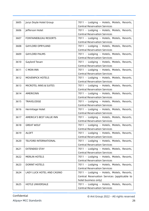| 3605 | Jurys Doyle Hotel Group           | 7011 - Lodging - Hotels, Motels, Resorts,<br><b>Central Reservation Services</b> |
|------|-----------------------------------|----------------------------------------------------------------------------------|
|      |                                   |                                                                                  |
| 3606 | Jefferson Hotel                   | 7011 - Lodging - Hotels, Motels, Resorts,<br><b>Central Reservation Services</b> |
|      |                                   |                                                                                  |
| 3607 | <b>FONTAINEBLEAU RESORTS</b>      | 7011 - Lodging - Hotels, Motels, Resorts,                                        |
|      |                                   | <b>Central Reservation Services</b>                                              |
| 3608 | <b>GAYLORD OPRYLAND</b>           | 7011 - Lodging - Hotels, Motels, Resorts,                                        |
|      |                                   | <b>Central Reservation Services</b>                                              |
| 3609 | <b>GAYLORD PALMS</b>              | 7011 - Lodging - Hotels, Motels, Resorts,                                        |
|      |                                   | <b>Central Reservation Services</b>                                              |
| 3610 | Gaylord Texan                     | 7011 - Lodging - Hotels, Motels, Resorts,                                        |
|      |                                   | <b>Central Reservation Services</b>                                              |
| 3611 | C MON INN                         | 7011 - Lodging - Hotels, Motels, Resorts,                                        |
|      |                                   | <b>Central Reservation Services</b>                                              |
| 3612 | <b>MOVENPICK HOTELS</b>           | 7011 - Lodging - Hotels, Motels, Resorts,                                        |
|      |                                   | <b>Central Reservation Services</b>                                              |
| 3613 | <b>MICROTEL INNS &amp; SUITES</b> | 7011 - Lodging - Hotels, Motels, Resorts,                                        |
|      |                                   | <b>Central Reservation Services</b>                                              |
| 3614 | AMERICINN                         | 7011 - Lodging - Hotels, Motels, Resorts,                                        |
|      |                                   | <b>Central Reservation Services</b>                                              |
| 3615 | TRAVELODGE                        | 7011 - Lodging - Hotels, Motels, Resorts,                                        |
|      |                                   | <b>Central Reservation Services</b>                                              |
| 3616 | Hermitage Hotel                   | 7011 - Lodging - Hotels, Motels, Resorts,                                        |
|      |                                   | <b>Central Reservation Services</b>                                              |
| 3617 | AMERICA'S BEST VALUE INN          | 7011 - Lodging - Hotels, Motels, Resorts,                                        |
|      |                                   | <b>Central Reservation Services</b>                                              |
| 3618 | <b>GREAT WOLF</b>                 | 7011 - Lodging - Hotels, Motels, Resorts,                                        |
|      |                                   | <b>Central Reservation Services</b>                                              |
| 3619 | <b>ALOFT</b>                      | 7011 - Lodging - Hotels, Motels, Resorts,                                        |
|      |                                   | <b>Central Reservation Services</b>                                              |
| 3620 | <b>TELFORD INTERNATIONAL</b>      | 7011 - Lodging - Hotels, Motels, Resorts,                                        |
|      |                                   | <b>Central Reservation Services</b>                                              |
| 3621 | <b>EXTENDED STAY</b>              | 7011 - Lodging - Hotels, Motels, Resorts,                                        |
|      |                                   | <b>Central Reservation Services</b>                                              |
| 3622 | <b>MERLIN HOTELS</b>              | 7011 - Lodging - Hotels, Motels, Resorts,                                        |
|      |                                   | <b>Central Reservation Services</b>                                              |
| 3623 | <b>DORINT HOTELS</b>              | 7011 - Lodging - Hotels, Motels, Resorts,                                        |
|      |                                   | <b>Central Reservation Services</b>                                              |
| 3624 | LADY LUCK HOTEL AND CASINO        | 7011 - Lodging - Hotels, Motels, Resorts,                                        |
|      |                                   | Central Reservation Services (applicable to                                      |
|      |                                   | hotel business only)                                                             |
| 3625 | <b>HOTLE UNIVERSALE</b>           | 7011 - Lodging - Hotels, Motels, Resorts,                                        |
|      |                                   | <b>Central Reservation Services</b>                                              |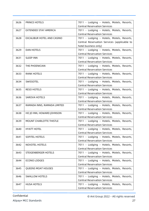| 3626 | <b>PRINCE HOTELS</b>           | 7011 - Lodging - Hotels, Motels, Resorts,   |
|------|--------------------------------|---------------------------------------------|
|      |                                | <b>Central Reservation Services</b>         |
| 3627 | EXTENDED STAY AMERICA          | 7011 - Lodging - Hotels, Motels, Resorts,   |
|      |                                | <b>Central Reservation Services</b>         |
| 3628 | EXCALIBUR HOTEL AND CASINO     | 7011 - Lodging - Hotels, Motels, Resorts,   |
|      |                                | Central Reservation Services (applicable to |
|      |                                | hotel business only)                        |
| 3629 | <b>DAN HOTELS</b>              | 7011 - Lodging - Hotels, Motels, Resorts,   |
|      |                                | <b>Central Reservation Services</b>         |
| 3631 | <b>SLEEP INN</b>               | 7011 - Lodging - Hotels, Motels, Resorts,   |
|      |                                | <b>Central Reservation Services</b>         |
| 3632 | THE PHOENICIAN                 | 7011 - Lodging - Hotels, Motels, Resorts,   |
|      |                                | <b>Central Reservation Services</b>         |
| 3633 | <b>RANK HOTELS</b>             | 7011 - Lodging - Hotels, Motels, Resorts,   |
|      |                                | <b>Central Reservation Services</b>         |
| 3634 | SWISSOTEL                      | 7011 - Lodging - Hotels, Motels, Resorts,   |
|      |                                | <b>Central Reservation Services</b>         |
| 3635 | <b>RESO HOTELS</b>             | 7011 - Lodging - Hotels, Motels, Resorts,   |
|      |                                | <b>Central Reservation Services</b>         |
| 3636 | <b>SAROVA HOTELS</b>           | 7011 - Lodging - Hotels, Motels, Resorts,   |
|      |                                | <b>Central Reservation Services</b>         |
| 3637 | RAMADA INNS, RAMADA LIMITED    | 7011 - Lodging - Hotels, Motels, Resorts,   |
|      |                                | <b>Central Reservation Services</b>         |
| 3638 | HO JO INN, HOWARD JOHNSON      | 7011 - Lodging - Hotels, Motels, Resorts,   |
|      |                                | <b>Central Reservation Services</b>         |
| 3639 | <b>MOUNT CHARLOTTE THISTLE</b> | 7011 - Lodging - Hotels, Motels, Resorts,   |
|      |                                | <b>Central Reservation Services</b>         |
| 3640 | <b>HYATT HOTEL</b>             | 7011 - Lodging - Hotels, Motels, Resorts,   |
|      |                                | <b>Central Reservation Services</b>         |
| 3641 | SOFITEL HOTELS                 | 7011 - Lodging - Hotels, Motels, Resorts,   |
|      |                                | <b>Central Reservation Services</b>         |
| 3642 | <b>NOVOTEL HOTELS</b>          | 7011 - Lodging - Hotels, Motels, Resorts,   |
|      |                                | <b>Central Reservation Services</b>         |
| 3643 | STEIGENBERGER HOTELS           | 7011 - Lodging - Hotels, Motels, Resorts,   |
|      |                                | <b>Central Reservation Services</b>         |
| 3644 | <b>ECONO LODGES</b>            | 7011 - Lodging - Hotels, Motels, Resorts,   |
|      |                                | <b>Central Reservation Services</b>         |
| 3645 | QUEENS MOAT HOUSES             | 7011 - Lodging - Hotels, Motels, Resorts,   |
|      |                                | <b>Central Reservation Services</b>         |
| 3646 | <b>SWALLOW HOTELS</b>          | 7011 - Lodging - Hotels, Motels, Resorts,   |
|      |                                | <b>Central Reservation Services</b>         |
| 3647 | <b>HUSA HOTELS</b>             | 7011 - Lodging - Hotels, Motels, Resorts,   |
|      |                                | <b>Central Reservation Services</b>         |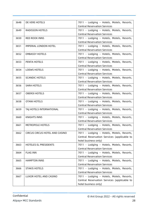| 3648 | DE VERE HOTELS                 | 7011 - Lodging - Hotels, Motels, Resorts,<br><b>Central Reservation Services</b> |
|------|--------------------------------|----------------------------------------------------------------------------------|
| 3649 | <b>RADISSON HOTELS</b>         | 7011 - Lodging - Hotels, Motels, Resorts,                                        |
|      |                                | <b>Central Reservation Services</b>                                              |
| 3650 | <b>RED ROOK INNS</b>           | 7011 - Lodging - Hotels, Motels, Resorts,                                        |
|      |                                | <b>Central Reservation Services</b>                                              |
| 3651 | <b>IMPERIAL LONDON HOTEL</b>   | 7011 - Lodging - Hotels, Motels, Resorts,                                        |
|      |                                | <b>Central Reservation Services</b>                                              |
| 3652 | <b>EMBASSY HOTELS</b>          | 7011 - Lodging - Hotels, Motels, Resorts,                                        |
|      |                                | <b>Central Reservation Services</b>                                              |
| 3653 | PENTA HOTELS                   | 7011 - Lodging - Hotels, Motels, Resorts,                                        |
|      |                                | <b>Central Reservation Services</b>                                              |
| 3654 | <b>LOEWS HOTELS</b>            | 7011 - Lodging - Hotels, Motels, Resorts,                                        |
|      |                                | <b>Central Reservation Services</b>                                              |
| 3655 | <b>SCANDIC HOTELS</b>          | 7011 - Lodging - Hotels, Motels, Resorts,                                        |
|      |                                | <b>Central Reservation Services</b>                                              |
| 3656 | <b>SARA HOTELS</b>             | 7011 - Lodging - Hotels, Motels, Resorts,                                        |
|      |                                | <b>Central Reservation Services</b>                                              |
| 3657 | <b>OBEROI HOTELS</b>           | 7011 - Lodging - Hotels, Motels, Resorts,                                        |
|      |                                | <b>Central Reservation Services</b>                                              |
| 3658 | <b>OTANI HOTELS</b>            | 7011 - Lodging - Hotels, Motels, Resorts,                                        |
|      |                                | <b>Central Reservation Services</b>                                              |
| 3659 | TAJ HOTELS INTERNATIONAL       | 7011 - Lodging - Hotels, Motels, Resorts,                                        |
|      |                                | <b>Central Reservation Services</b>                                              |
| 3660 | <b>KNIGHTS INNS</b>            | 7011 - Lodging - Hotels, Motels, Resorts,                                        |
|      |                                | <b>Central Reservation Services</b>                                              |
| 3661 | <b>METROPOLE HOTELS</b>        | 7011 - Lodging - Hotels, Motels, Resorts,                                        |
|      |                                | <b>Central Reservation Services</b>                                              |
| 3662 | CIRCUS CIRCUS HOTEL AND CASINO | 7011 - Lodging - Hotels, Motels, Resorts,                                        |
|      |                                | Central Reservation Services (applicable to                                      |
|      |                                | hotel business only)                                                             |
| 3663 | <b>HOTELES EL PRESIDENTS</b>   | 7011 - Lodging - Hotels, Motels, Resorts,                                        |
|      |                                | <b>Central Reservation Services</b>                                              |
| 3664 | <b>FLAG INN</b>                | 7011 - Lodging - Hotels, Motels, Resorts,                                        |
|      |                                | <b>Central Reservation Services</b>                                              |
| 3665 | <b>HAMPTON INNS</b>            | 7011 - Lodging - Hotels, Motels, Resorts,                                        |
|      |                                | <b>Central Reservation Services</b>                                              |
| 3666 | <b>STAKIS HOTELS</b>           | 7011 - Lodging - Hotels, Motels, Resorts,                                        |
|      |                                | <b>Central Reservation Services</b>                                              |
| 3667 | LUXOR HOTEL AND CASINO         | 7011 - Lodging - Hotels, Motels, Resorts,                                        |
|      |                                | Central Reservation Services (applicable to                                      |
|      |                                | hotel business only)                                                             |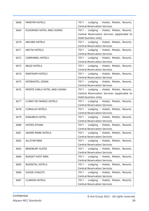| 3668 | <b>MARITIM HOTELS</b>          | 7011 - Lodging - Hotels, Motels, Resorts,<br><b>Central Reservation Services</b> |
|------|--------------------------------|----------------------------------------------------------------------------------|
| 3669 | ELDORADO HOTEL AND CASINO      | 7011 - Lodging - Hotels, Motels, Resorts,                                        |
|      |                                | Central Reservation Services (applicable to                                      |
|      |                                | hotel business only)                                                             |
| 3670 | <b>ARCARD HOTELS</b>           | 7011 - Lodging - Hotels, Motels, Resorts,                                        |
|      |                                | <b>Central Reservation Services</b>                                              |
| 3671 | <b>ARCTIA HOTELS</b>           | 7011 - Lodging - Hotels, Motels, Resorts,                                        |
|      |                                | <b>Central Reservation Services</b>                                              |
| 3672 | <b>CAMPANIEL HOTELS</b>        | 7011 - Lodging - Hotels, Motels, Resorts,                                        |
|      |                                | <b>Central Reservation Services</b>                                              |
| 3673 | <b>IBUSZ HOTELS</b>            | 7011 - Lodging - Hotels, Motels, Resorts,                                        |
|      |                                | <b>Central Reservation Services</b>                                              |
| 3674 | <b>RANTASIPI HOTELS</b>        | 7011 - Lodging - Hotels, Motels, Resorts,                                        |
|      |                                | <b>Central Reservation Services</b>                                              |
| 3675 | <b>INTERHOTEL CEDOK</b>        | 7011 - Lodging - Hotels, Motels, Resorts,                                        |
|      |                                | <b>Central Reservation Services</b>                                              |
| 3676 | MONTE CARLO HOTEL AND CASINO   | 7011 - Lodging - Hotels, Motels, Resorts,                                        |
|      |                                | Central Reservation Services (applicable to                                      |
|      |                                | hotel business only)                                                             |
| 3677 | <b>CLIMAT DE FRANCE HOTELS</b> | 7011 - Lodging - Hotels, Motels, Resorts,                                        |
|      |                                | <b>Central Reservation Services</b>                                              |
| 3678 | <b>CUMULUS HOTELS</b>          | 7011 - Lodging - Hotels, Motels, Resorts,                                        |
|      |                                | <b>Central Reservation Services</b>                                              |
| 3679 | <b>DANUBIUS HOTEL</b>          | 7011 - Lodging - Hotels, Motels, Resorts,                                        |
|      |                                | <b>Central Reservation Services</b>                                              |
| 3680 | <b>HOTEIS OTHAN</b>            | 7011 - Lodging - Hotels, Motels, Resorts,                                        |
|      |                                | <b>Central Reservation Services</b>                                              |
| 3681 | <b>ADAMS MARK HOTELS</b>       | 7011 - Lodging - Hotels, Motels, Resorts,                                        |
|      |                                | <b>Central Reservation Services</b>                                              |
| 3682 | <b>ALLSTAR INNS</b>            | 7011 - Lodging - Hotels, Motels, Resorts,                                        |
|      |                                | <b>Central Reservation Services</b>                                              |
| 3683 | <b>BRADBURY SUITES</b>         | 7011 - Lodging - Hotels, Motels, Resorts,                                        |
|      |                                | <b>Central Reservation Services</b>                                              |
| 3684 | <b>BUDGET HOST INNS</b>        | 7011 - Lodging - Hotels, Motels, Resorts,                                        |
|      |                                | <b>Central Reservation Services</b>                                              |
| 3685 | <b>BUDGETEL HOTELS</b>         | 7011 - Lodging - Hotels, Motels, Resorts,                                        |
|      |                                | <b>Central Reservation Services</b>                                              |
| 3686 | <b>SUISSE CHALETS</b>          | 7011 - Lodging - Hotels, Motels, Resorts,                                        |
|      |                                | <b>Central Reservation Services</b>                                              |
| 3687 | <b>CLARION HOTELS</b>          | 7011 - Lodging - Hotels, Motels, Resorts,                                        |
|      |                                | <b>Central Reservation Services</b>                                              |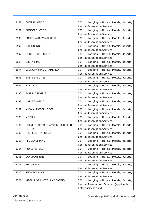| 3688 | <b>COMPRI HOTELS</b>                          | 7011 - Lodging - Hotels, Motels, Resorts,<br><b>Central Reservation Services</b> |
|------|-----------------------------------------------|----------------------------------------------------------------------------------|
|      |                                               |                                                                                  |
| 3689 | <b>CONSORT HOTELS</b>                         | 7011 - Lodging - Hotels, Motels, Resorts,                                        |
|      |                                               | <b>Central Reservation Services</b>                                              |
| 3690 | <b>COURTYARD BY MARRIOTT</b>                  | 7011 - Lodging - Hotels, Motels, Resorts,                                        |
|      |                                               | <b>Central Reservation Services</b>                                              |
| 3691 | <b>DILLION INNS</b>                           | 7011 - Lodging - Hotels, Motels, Resorts,                                        |
|      |                                               | <b>Central Reservation Services</b>                                              |
| 3692 | <b>DOUBLETREE HOTELS</b>                      | 7011 - Lodging - Hotels, Motels, Resorts,                                        |
|      |                                               | <b>Central Reservation Services</b>                                              |
| 3693 | <b>DRURY INNS</b>                             | 7011 - Lodging - Hotels, Motels, Resorts,                                        |
|      |                                               | <b>Central Reservation Services</b>                                              |
| 3694 | ECONOMY INNS OF AMERICA                       | 7011 - Lodging - Hotels, Motels, Resorts,                                        |
|      |                                               | <b>Central Reservation Services</b>                                              |
| 3695 | <b>EMBASSY SUITES</b>                         | 7011 - Lodging - Hotels, Motels, Resorts,                                        |
|      |                                               | <b>Central Reservation Services</b>                                              |
| 3696 | <b>EXEL INNS</b>                              | 7011 - Lodging - Hotels, Motels, Resorts,                                        |
|      |                                               | <b>Central Reservation Services</b>                                              |
| 3697 | <b>FARFIELD HOTELS</b>                        | 7011 - Lodging - Hotels, Motels, Resorts,                                        |
|      |                                               | <b>Central Reservation Services</b>                                              |
| 3698 | <b>HARLEY HOTELS</b>                          | 7011 - Lodging - Hotels, Motels, Resorts,                                        |
|      |                                               | <b>Central Reservation Services</b>                                              |
| 3699 | MIDWAY MOTOR LODGE                            | 7011 - Lodging - Hotels, Motels, Resorts,                                        |
|      |                                               | <b>Central Reservation Services</b>                                              |
| 3700 | MOTEL 6                                       | 7011 - Lodging - Hotels, Motels, Resorts,                                        |
|      |                                               | <b>Central Reservation Services</b>                                              |
| 3701 | <b>GUEST QUARTERS (Formally PICKETT SUITE</b> | 7011 - Lodging - Hotels, Motels, Resorts,                                        |
|      | HOTELS)                                       | <b>Central Reservation Services</b>                                              |
| 3702 | THE REGISTRY HOTELS                           | 7011 - Lodging - Hotels, Motels, Resorts,                                        |
|      |                                               | <b>Central Reservation Services</b>                                              |
| 3703 | <b>RESIDENCE INNS</b>                         | 7011 - Lodging - Hotels, Motels, Resorts,                                        |
|      |                                               | <b>Central Reservation Services</b>                                              |
| 3704 | ROYCE HOTELS                                  | 7011 - Lodging - Hotels, Motels, Resorts,                                        |
|      |                                               | <b>Central Reservation Services</b>                                              |
| 3705 | <b>SANDMAN INNS</b>                           | 7011 - Lodging - Hotels, Motels, Resorts,                                        |
|      |                                               | <b>Central Reservation Services</b>                                              |
| 3706 | <b>SHILO INNS</b>                             | 7011 - Lodging - Hotels, Motels, Resorts,                                        |
|      |                                               | <b>Central Reservation Services</b>                                              |
| 3707 | <b>SHONEY'S INNS</b>                          | 7011 - Lodging - Hotels, Motels, Resorts,                                        |
|      |                                               | <b>Central Reservation Services</b>                                              |
| 3708 | VIRGIN RIVER HOTEL AND CASINO                 | 7011 - Lodging - Hotels, Motels, Resorts,                                        |
|      |                                               | Central Reservation Services (applicable to                                      |
|      |                                               | hotel business only)                                                             |
|      |                                               |                                                                                  |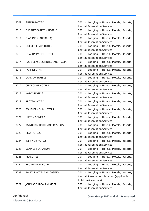| 3709 | <b>SUPER8 MOTELS</b>            | 7011 - Lodging - Hotels, Motels, Resorts,<br><b>Central Reservation Services</b> |
|------|---------------------------------|----------------------------------------------------------------------------------|
|      |                                 |                                                                                  |
| 3710 | THE RITZ CARLTON HOTELS         | 7011 - Lodging - Hotels, Motels, Resorts,<br><b>Central Reservation Services</b> |
| 3711 | FLAG INNS (AUSRALIA)            | 7011 - Lodging - Hotels, Motels, Resorts,                                        |
|      |                                 | <b>Central Reservation Services</b>                                              |
| 3712 | <b>GOLDEN CHAIN HOTEL</b>       | 7011 - Lodging - Hotels, Motels, Resorts,                                        |
|      |                                 | <b>Central Reservation Services</b>                                              |
| 3713 | <b>QUALITY PACIFIC HOTEL</b>    | 7011 - Lodging - Hotels, Motels, Resorts,                                        |
|      |                                 | <b>Central Reservation Services</b>                                              |
|      |                                 |                                                                                  |
| 3714 | FOUR SEASONS HOTEL (AUSTRALIA)  | 7011 - Lodging - Hotels, Motels, Resorts,                                        |
|      |                                 | <b>Central Reservation Services</b>                                              |
| 3715 | <b>FARIFIELD INN</b>            | 7011 - Lodging - Hotels, Motels, Resorts,                                        |
|      |                                 | <b>Central Reservation Services</b>                                              |
| 3716 | <b>CARLTON HOTELS</b>           | 7011 - Lodging - Hotels, Motels, Resorts,                                        |
|      |                                 | <b>Central Reservation Services</b>                                              |
| 3717 | <b>CITY LODGE HOTELS</b>        | 7011 - Lodging - Hotels, Motels, Resorts,                                        |
|      |                                 | <b>Central Reservation Services</b>                                              |
| 3718 | <b>KAROS HOTELS</b>             | 7011 - Lodging - Hotels, Motels, Resorts,                                        |
|      |                                 | <b>Central Reservation Services</b>                                              |
| 3719 | PROTEA HOTELS                   | 7011 - Lodging - Hotels, Motels, Resorts,                                        |
|      |                                 | <b>Central Reservation Services</b>                                              |
| 3720 | <b>SOUTHERN SUN HOTELS</b>      | 7011 - Lodging - Hotels, Motels, Resorts,                                        |
|      |                                 | <b>Central Reservation Services</b>                                              |
| 3721 | <b>HILTON CONRAD</b>            | 7011 - Lodging - Hotels, Motels, Resorts,                                        |
|      |                                 | <b>Central Reservation Services</b>                                              |
| 3722 | WYNDHAM HOTEL AND RESORTS       | 7011 - Lodging - Hotels, Motels, Resorts,                                        |
|      |                                 | <b>Central Reservation Services</b>                                              |
| 3723 | <b>RICA HOTELS</b>              | 7011 - Lodging - Hotels, Motels, Resorts,                                        |
|      |                                 | <b>Central Reservation Services</b>                                              |
| 3724 | <b>INER NOR HOTELS</b>          | 7011 - Lodging - Hotels, Motels, Resorts,                                        |
|      |                                 | <b>Central Reservation Services</b>                                              |
| 3725 | <b>SEAINES PLANATION</b>        | 7011 - Lodging - Hotels, Motels, Resorts,                                        |
|      |                                 | <b>Central Reservation Services</b>                                              |
| 3726 | <b>RIO SUITES</b>               | 7011 - Lodging - Hotels, Motels, Resorts,                                        |
|      |                                 | <b>Central Reservation Services</b>                                              |
|      |                                 |                                                                                  |
| 3727 | <b>BROADMOOR HOTEL</b>          | 7011 - Lodging - Hotels, Motels, Resorts,<br><b>Central Reservation Services</b> |
|      | <b>BALLY'S HOTEL AND CASINO</b> |                                                                                  |
| 3728 |                                 | 7011 - Lodging - Hotels, Motels, Resorts,                                        |
|      |                                 | Central Reservation Services (applicable to                                      |
|      |                                 | hotel business only)                                                             |
| 3729 | JOHN ASCUAGA'S NUGGET           | 7011 - Lodging - Hotels, Motels, Resorts,                                        |
|      |                                 | <b>Central Reservation Services</b>                                              |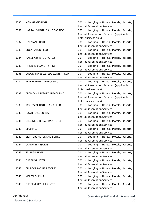| 3730 | <b>MGM GRAND HOTEL</b>                 | 7011 - Lodging - Hotels, Motels, Resorts,<br><b>Central Reservation Services</b> |
|------|----------------------------------------|----------------------------------------------------------------------------------|
|      |                                        |                                                                                  |
| 3731 | HARRAH'S HOTELS AND CASINOS            | 7011 - Lodging - Hotels, Motels, Resorts,                                        |
|      |                                        | Central Reservation Services (applicable to                                      |
|      |                                        | hotel business only)                                                             |
| 3732 | <b>OPRYLAND HOTEL</b>                  | 7011 - Lodging - Hotels, Motels, Resorts,                                        |
|      |                                        | <b>Central Reservation Services</b>                                              |
| 3733 | <b>BOCA RATON RESORT</b>               | 7011 - Lodging - Hotels, Motels, Resorts,                                        |
|      |                                        | <b>Central Reservation Services</b>                                              |
| 3734 | HARVEY/BRISTOL HOTELS                  | 7011 - Lodging - Hotels, Motels, Resorts,                                        |
|      |                                        | <b>Central Reservation Services</b>                                              |
| 3735 | MASTERS ECONOMY INNS                   | 7011 - Lodging - Hotels, Motels, Resorts,                                        |
|      |                                        | <b>Central Reservation Services</b>                                              |
| 3736 | <b>COLORADO BELLE/EDGEWATER RESORT</b> | 7011 - Lodging - Hotels, Motels, Resorts,                                        |
|      |                                        | <b>Central Reservation Services</b>                                              |
| 3737 | RIVIERA HOTEL AND CASINO               | 7011 - Lodging - Hotels, Motels, Resorts,                                        |
|      |                                        | Central Reservation Services (applicable to                                      |
|      |                                        | hotel business only)                                                             |
| 3738 | TROPICANA RESORT AND CASINO            | 7011 - Lodging - Hotels, Motels, Resorts,                                        |
|      |                                        | Central Reservation Services (applicable to                                      |
|      |                                        | hotel business only)                                                             |
| 3739 | WOODSIDE HOTELS AND RESORTS            | 7011 - Lodging - Hotels, Motels, Resorts,                                        |
|      |                                        | <b>Central Reservation Services</b>                                              |
| 3740 | <b>TOWNPLACE SUITES</b>                |                                                                                  |
|      |                                        | 7011 - Lodging - Hotels, Motels, Resorts,<br><b>Central Reservation Services</b> |
|      |                                        |                                                                                  |
| 3741 | MILLENIUM BROADWAY HOTEL               | 7011 - Lodging - Hotels, Motels, Resorts,                                        |
|      |                                        | <b>Central Reservation Services</b>                                              |
| 3742 | <b>CLUB MED</b>                        | 7011 - Lodging - Hotels, Motels, Resorts,                                        |
|      |                                        | <b>Central Reservation Services</b>                                              |
| 3743 | BILTMORE HOTEL AND SUITES              | 7011 - Lodging - Hotels, Motels, Resorts,                                        |
|      |                                        | <b>Central Reservation Services</b>                                              |
| 3744 | <b>CAREFREE RESORTS</b>                | 7011 - Lodging - Hotels, Motels, Resorts,                                        |
|      |                                        | <b>Central Reservation Services</b>                                              |
| 3745 | ST. REGIS HOTEL                        | 7011 - Lodging - Hotels, Motels, Resorts,                                        |
|      |                                        | <b>Central Reservation Services</b>                                              |
| 3746 | THE ELIOT HOTEL                        | 7011 - Lodging - Hotels, Motels, Resorts,                                        |
|      |                                        | <b>Central Reservation Services</b>                                              |
| 3747 | <b>CLUBCORP/CLUB RESORTS</b>           | 7011 - Lodging - Hotels, Motels, Resorts,                                        |
|      |                                        | <b>Central Reservation Services</b>                                              |
| 3748 | <b>WELESLEY INNS</b>                   | 7011 - Lodging - Hotels, Motels, Resorts,                                        |
|      |                                        | <b>Central Reservation Services</b>                                              |
| 3749 | THE BEVERLY HILLS HOTEL                | 7011 - Lodging - Hotels, Motels, Resorts,                                        |
|      |                                        | <b>Central Reservation Services</b>                                              |
|      |                                        |                                                                                  |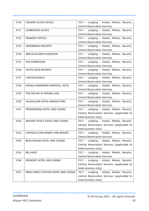| 3750 | <b>CROWNE PLAZA HOTELS</b>           | 7011 - Lodging - Hotels, Motels, Resorts,<br><b>Central Reservation Services</b> |
|------|--------------------------------------|----------------------------------------------------------------------------------|
| 3751 | <b>HOMEWOOD SUITES</b>               | 7011 - Lodging - Hotels, Motels, Resorts,                                        |
|      |                                      | <b>Central Reservation Services</b>                                              |
| 3752 | PEABODY HOTELS                       | 7011 - Lodging - Hotels, Motels, Resorts,                                        |
|      |                                      | <b>Central Reservation Services</b>                                              |
| 3753 | <b>GREENBRIAH RESORTS</b>            | 7011 - Lodging - Hotels, Motels, Resorts,                                        |
|      |                                      | <b>Central Reservation Services</b>                                              |
| 3754 | AMELIA ISLAND PLANATION              | 7011 - Lodging - Hotels, Motels, Resorts,                                        |
|      |                                      | <b>Central Reservation Services</b>                                              |
| 3755 | THE HOMESTEAD                        | 7011 - Lodging - Hotels, Motels, Resorts,                                        |
|      |                                      | <b>Central Reservation Services</b>                                              |
| 3756 | <b>SOUTH SEAS RESORTS</b>            | 7011 - Lodging - Hotels, Motels, Resorts,                                        |
|      |                                      | <b>Central Reservation Services</b>                                              |
| 3757 | <b>CANYON RANCH</b>                  | 7011 - Lodging - Hotels, Motels, Resorts,                                        |
|      |                                      | <b>Central Reservation Services</b>                                              |
| 3758 | KAHALA MANDARIN ORIENTAL HOTEL       | 7011 - Lodging - Hotels, Motels, Resorts,                                        |
|      |                                      | <b>Central Reservation Services</b>                                              |
| 3759 | THE ORCHID AT MAUNA LANI             | 7011 - Lodging - Hotels, Motels, Resorts,                                        |
|      |                                      | <b>Central Reservation Services</b>                                              |
| 3760 | HALEKULANI HOTEL/WAIKIKI PARC        | 7011 - Lodging - Hotels, Motels, Resorts,                                        |
|      |                                      | <b>Central Reservation Services</b>                                              |
| 3761 | PRIMADONNA HOTEL AND CASINO          | 7011 - Lodging - Hotels, Motels, Resorts,                                        |
|      |                                      | Central Reservation Services (applicable to                                      |
|      |                                      | hotel business only)                                                             |
| 3762 | WHISKEY PETE'S HOTEL AND CASINO      | 7011 - Lodging - Hotels, Motels, Resorts,                                        |
|      |                                      | Central Reservation Services (applicable to                                      |
|      |                                      | hotel business only)                                                             |
| 3763 | CHATEAU ELAN WINERY AND RESORT       | 7011 - Lodging - Hotels, Motels, Resorts,                                        |
|      |                                      | <b>Central Reservation Services</b>                                              |
| 3764 | BEAU RIVAGE HOTEL AND CASINO         | 7011 - Lodging - Hotels, Motels, Resorts,                                        |
|      |                                      | Central Reservation Services (applicable to                                      |
|      |                                      | hotel business only)                                                             |
| 3765 | <b>BELLAGIO</b>                      | 7011 - Lodging - Hotels, Motels, Resorts,                                        |
|      |                                      | <b>Central Reservation Services</b>                                              |
| 3766 | FREMONT HOTEL AND CASINO             | 7011 - Lodging - Hotels, Motels, Resorts,                                        |
|      |                                      | Central Reservation Services (applicable to                                      |
|      |                                      | hotel business only)                                                             |
| 3767 | MAIN STREET STATION HOTEL AND CASINO | 7011 - Lodging - Hotels, Motels, Resorts,                                        |
|      |                                      | Central Reservation Services (applicable to                                      |
|      |                                      | hotel business only)                                                             |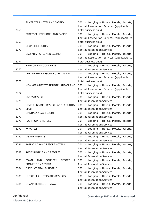|      | SILVER STAR HOTEL AND CASINO                               | 7011 - Lodging - Hotels, Motels, Resorts,   |
|------|------------------------------------------------------------|---------------------------------------------|
|      |                                                            | Central Reservation Services (applicable to |
| 3768 |                                                            |                                             |
|      |                                                            | hotel business only)                        |
|      | STRATOSPHERE HOTEL AND CASINO                              | 7011 - Lodging - Hotels, Motels, Resorts,   |
|      |                                                            | Central Reservation Services (applicable to |
| 3769 |                                                            | hotel business only)                        |
|      | <b>SPRINGHILL SUITES</b>                                   | 7011 - Lodging - Hotels, Motels, Resorts,   |
| 3770 |                                                            | <b>Central Reservation Services</b>         |
|      | CAESAR'S HOTEL AND CASINO                                  | 7011 - Lodging - Hotels, Motels, Resorts,   |
|      |                                                            | Central Reservation Services (applicable to |
| 3771 |                                                            | hotel business only)                        |
|      | NEMACOLIN WOODLANDS                                        | 7011 - Lodging - Hotels, Motels, Resorts,   |
| 3772 |                                                            | <b>Central Reservation Services</b>         |
|      | THE VENETIAN RESORT HOTEL CASINO                           | 7011 - Lodging - Hotels, Motels, Resorts,   |
|      |                                                            | Central Reservation Services (applicable to |
| 3773 |                                                            | hotel business only)                        |
|      | NEW YORK-NEW YORK HOTEL AND CASINO                         | 7011 - Lodging - Hotels, Motels, Resorts,   |
|      |                                                            | Central Reservation Services (applicable to |
| 3774 |                                                            | hotel business only)                        |
|      | <b>SANDS RESORT</b>                                        | 7011 - Lodging - Hotels, Motels, Resorts,   |
| 3775 |                                                            | <b>Central Reservation Services</b>         |
|      | NEVELE GRAND RESORT AND COUNTRY                            | 7011 - Lodging - Hotels, Motels, Resorts,   |
| 3776 | <b>CLUB</b>                                                | <b>Central Reservation Services</b>         |
|      | <b>MANDALAY BAY RESORT</b>                                 | 7011 - Lodging - Hotels, Motels, Resorts,   |
| 3777 |                                                            | <b>Central Reservation Services</b>         |
|      | <b>FOUR POINTS HOTELS</b>                                  |                                             |
| 3778 |                                                            | 7011 - Lodging - Hotels, Motels, Resorts,   |
|      |                                                            | <b>Central Reservation Services</b>         |
| 3779 | W HOTELS                                                   | 7011 - Lodging - Hotels, Motels, Resorts,   |
|      |                                                            | <b>Central Reservation Services</b>         |
| 3780 | <b>DISNEY RESORTS</b>                                      | 7011 - Lodging - Hotels, Motels, Resorts,   |
|      |                                                            | <b>Central Reservation Services</b>         |
| 3781 | PATRICIA GRAND RESORT HOTELS                               | 7011 - Lodging - Hotels, Motels, Resorts,   |
|      |                                                            | <b>Central Reservation Services</b>         |
| 3782 | ROSEN HOTELS AND RESORTS                                   | 7011 - Lodging - Hotels, Motels, Resorts,   |
|      |                                                            | <b>Central Reservation Services</b>         |
| 3783 | <b>TOWN</b><br>AND<br><b>COUNTRY</b><br><b>RESORT</b><br>& | 7011 - Lodging - Hotels, Motels, Resorts,   |
|      | <b>CONVENTION CENTER</b>                                   | <b>Central Reservation Services</b>         |
| 3784 | FIRST HOSPITALITY HOTELS                                   | 7011 - Lodging - Hotels, Motels, Resorts,   |
|      |                                                            | <b>Central Reservation Services</b>         |
| 3785 | <b>OUTRIGGER HOTELS AND RESORTS</b>                        | 7011 - Lodging - Hotels, Motels, Resorts,   |
|      |                                                            | <b>Central Reservation Services</b>         |
| 3786 | <b>OHANA HOTELS OF HAWAII</b>                              | 7011 - Lodging - Hotels, Motels, Resorts,   |
|      |                                                            | <b>Central Reservation Services</b>         |
|      |                                                            |                                             |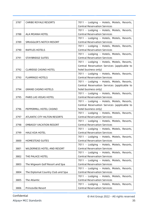| 3787 | <b>CARIBE ROYALE RESORTS</b>        | 7011 - Lodging - Hotels, Motels, Resorts,                                        |
|------|-------------------------------------|----------------------------------------------------------------------------------|
|      |                                     | <b>Central Reservation Services</b>                                              |
|      |                                     | 7011 - Lodging - Hotels, Motels, Resorts,                                        |
| 3788 | ALA MOANA HOTEL                     | <b>Central Reservation Services</b>                                              |
|      |                                     | 7011 - Lodging - Hotels, Motels, Resorts,                                        |
| 3789 | SMUGGLER'S NOTCH RESORT             | <b>Central Reservation Services</b>                                              |
|      |                                     | 7011 - Lodging - Hotels, Motels, Resorts,                                        |
| 3790 | <b>RAFFLES HOTELS</b>               | <b>Central Reservation Services</b>                                              |
|      |                                     | 7011 - Lodging - Hotels, Motels, Resorts,                                        |
| 3791 | <b>STAYBRIDGE SUITES</b>            | <b>Central Reservation Services</b>                                              |
|      |                                     | 7011 - Lodging - Hotels, Motels, Resorts,                                        |
|      |                                     | Central Reservation Services (applicable to                                      |
| 3792 | <b>CLARIDGE CASINO HOTEL</b>        | hotel business only)                                                             |
|      |                                     | 7011 - Lodging - Hotels, Motels, Resorts,                                        |
| 3793 | <b>FLAMINGO HOTELS</b>              | <b>Central Reservation Services</b>                                              |
|      |                                     | 7011 - Lodging - Hotels, Motels, Resorts,                                        |
|      |                                     | Central Reservation Services (applicable to                                      |
| 3794 | <b>GRAND CASINO HOTELS</b>          | hotel business only)                                                             |
|      |                                     | 7011 - Lodging - Hotels, Motels, Resorts,                                        |
| 3795 | PARIS LAS VEGAS HOTEL               | <b>Central Reservation Services</b>                                              |
|      |                                     | 7011 - Lodging - Hotels, Motels, Resorts,                                        |
|      |                                     | Central Reservation Services (applicable to                                      |
| 3796 | PEPPERMILL HOTEL CASINO             | hotel business only)                                                             |
|      |                                     | 7011 - Lodging - Hotels, Motels, Resorts,                                        |
| 3797 | <b>ATLANTIC CITY HILTON RESORTS</b> | <b>Central Reservation Services</b>                                              |
|      |                                     | 7011 - Lodging - Hotels, Motels, Resorts,                                        |
| 3798 | <b>EMBASSY VACATION RESORT</b>      | <b>Central Reservation Services</b>                                              |
|      |                                     | 7011 - Lodging - Hotels, Motels, Resorts,                                        |
| 3799 | <b>HALE KOA HOTEL</b>               | <b>Central Reservation Services</b>                                              |
|      |                                     | 7011 - Lodging - Hotels, Motels, Resorts,                                        |
| 3800 | <b>HOMESTEAD SUITES</b>             | <b>Central Reservation Services</b>                                              |
|      |                                     | 7011 - Lodging - Hotels, Motels, Resorts,                                        |
| 3801 | WILDERNESS HOTEL AND RESORT         | <b>Central Reservation Services</b>                                              |
|      |                                     | 7011 - Lodging - Hotels, Motels, Resorts,<br><b>Central Reservation Services</b> |
| 3802 | THE PALACE HOTEL                    |                                                                                  |
| 3803 | The Wigwam Golf Resort and Spa      | 7011 - Lodging - Hotels, Motels, Resorts,<br><b>Central Reservation Services</b> |
|      |                                     | 7011 - Lodging - Hotels, Motels, Resorts,                                        |
| 3804 | The Diplomat Country Club and Spa   | <b>Central Reservation Services</b>                                              |
|      |                                     | 7011 - Lodging - Hotels, Motels, Resorts,                                        |
| 3805 | The Atlantic                        | <b>Central Reservation Services</b>                                              |
|      |                                     | 7011 - Lodging - Hotels, Motels, Resorts,                                        |
| 3806 | Princeville Resort                  | <b>Central Reservation Services</b>                                              |
|      |                                     |                                                                                  |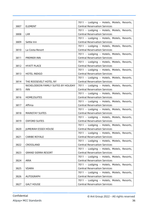| 3807 | <b>ELEMENT</b>                       | 7011 - Lodging - Hotels, Motels, Resorts,<br><b>Central Reservation Services</b> |
|------|--------------------------------------|----------------------------------------------------------------------------------|
|      |                                      | 7011 - Lodging - Hotels, Motels, Resorts,                                        |
| 3808 | <b>LXR</b>                           | <b>Central Reservation Services</b>                                              |
|      |                                      | 7011 - Lodging - Hotels, Motels, Resorts,                                        |
| 3809 | Settle Inn                           | <b>Central Reservation Services</b>                                              |
|      |                                      | 7011 - Lodging - Hotels, Motels, Resorts,                                        |
| 3810 | La Costa Resort                      | <b>Central Reservation Services</b>                                              |
|      |                                      | 7011 - Lodging - Hotels, Motels, Resorts,                                        |
| 3811 | PREMIER INN                          | <b>Central Reservation Services</b>                                              |
|      |                                      | 7011 - Lodging - Hotels, Motels, Resorts,                                        |
| 3812 | <b>HYATT PLACE</b>                   | <b>Central Reservation Services</b>                                              |
|      |                                      | 7011 - Lodging - Hotels, Motels, Resorts,                                        |
| 3813 | <b>HOTEL INDIGO</b>                  | <b>Central Reservation Services</b>                                              |
|      |                                      | 7011 - Lodging - Hotels, Motels, Resorts,                                        |
| 3814 | THE ROOSEVELT HOTEL NY               | <b>Central Reservation Services</b>                                              |
|      | NICKELODEON FAMILY SUITES BY HOLIDAY | 7011 - Lodging - Hotels, Motels, Resorts,                                        |
| 3815 | <b>INN</b>                           | <b>Central Reservation Services</b>                                              |
|      |                                      | 7011 - Lodging - Hotels, Motels, Resorts,                                        |
| 3816 | HOME2SUITES                          | <b>Central Reservation Services</b>                                              |
|      |                                      | 7011 - Lodging - Hotels, Motels, Resorts,                                        |
| 3817 | Affinia                              | <b>Central Reservation Services</b>                                              |
|      |                                      | 7011 - Lodging - Hotels, Motels, Resorts,                                        |
| 3818 | <b>MAINSTAY SUITES</b>               | <b>Central Reservation Services</b>                                              |
|      |                                      | 7011 - Lodging - Hotels, Motels, Resorts,                                        |
| 3819 | <b>OXFORD SUITES</b>                 | <b>Central Reservation Services</b>                                              |
|      |                                      | 7011 - Lodging - Hotels, Motels, Resorts,                                        |
| 3820 | <b>JUMEIRAH ESSEX HOUSE</b>          | <b>Central Reservation Services</b>                                              |
|      |                                      | 7011 - Lodging - Hotels, Motels, Resorts,                                        |
| 3821 | <b>CARIBE ROYALE</b>                 | <b>Central Reservation Services</b>                                              |
|      |                                      | 7011 - Lodging - Hotels, Motels, Resorts,                                        |
| 3822 | CROSSLAND                            | <b>Central Reservation Services</b>                                              |
|      |                                      | 7011 - Lodging - Hotels, Motels, Resorts,                                        |
| 3823 | <b>GRAND SIERRA RESORT</b>           | <b>Central Reservation Services</b>                                              |
|      |                                      | 7011 - Lodging - Hotels, Motels, Resorts,                                        |
| 3824 | ARIA                                 | <b>Central Reservation Services</b>                                              |
|      |                                      | 7011 - Lodging - Hotels, Motels, Resorts,                                        |
| 3825 | <b>VDARA</b>                         | <b>Central Reservation Services</b>                                              |
|      |                                      | 7011 - Lodging - Hotels, Motels, Resorts,                                        |
| 3826 | AUTOGRAPH                            | <b>Central Reservation Services</b>                                              |
|      |                                      | 7011 - Lodging - Hotels, Motels, Resorts,                                        |
| 3827 | <b>GALT HOUSE</b>                    | <b>Central Reservation Services</b>                                              |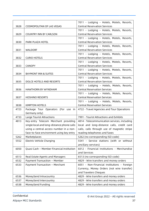| 3828 | <b>COSMOPOLITAN OF LAS VEGAS</b>           | 7011 - Lodging - Hotels, Motels, Resorts,<br><b>Central Reservation Services</b> |  |
|------|--------------------------------------------|----------------------------------------------------------------------------------|--|
|      |                                            | 7011 - Lodging - Hotels, Motels, Resorts,                                        |  |
| 3829 | <b>COUNTRY INN BY CARLSON</b>              | <b>Central Reservation Services</b>                                              |  |
|      |                                            | 7011 - Lodging - Hotels, Motels, Resorts,                                        |  |
| 3830 | PARK PLAZA HOTEL                           | <b>Central Reservation Services</b>                                              |  |
|      |                                            | 7011 - Lodging - Hotels, Motels, Resorts,                                        |  |
| 3831 | <b>WALDORF</b>                             | <b>Central Reservation Services</b>                                              |  |
|      |                                            | 7011 - Lodging - Hotels, Motels, Resorts,                                        |  |
| 3832 | <b>CURIO HOTELS</b>                        | <b>Central Reservation Services</b>                                              |  |
|      |                                            | 7011 - Lodging - Hotels, Motels, Resorts,                                        |  |
| 3833 | <b>CANOPY</b>                              | <b>Central Reservation Services</b>                                              |  |
|      |                                            | 7011 - Lodging - Hotels, Motels, Resorts,                                        |  |
| 3834 | <b>BAYMONT INN &amp; SUITES</b>            | <b>Central Reservation Services</b>                                              |  |
|      |                                            | 7011 - Lodging - Hotels, Motels, Resorts,                                        |  |
| 3835 | DOLCE HOTELS AND RESORTS                   | <b>Central Reservation Services</b>                                              |  |
|      |                                            | 7011 - Lodging - Hotels, Motels, Resorts,                                        |  |
| 3836 | HAWTHORN BY WYNDHAM                        | <b>Central Reservation Services</b>                                              |  |
|      |                                            | 7011 - Lodging - Hotels, Motels, Resorts,                                        |  |
| 3837 | <b>HOSHINO RESORTS</b>                     | <b>Central Reservation Services</b>                                              |  |
|      |                                            | 7011 - Lodging - Hotels, Motels, Resorts,                                        |  |
| 3838 | <b>KIMPTON HOTELS</b>                      | <b>Central Reservation Services</b>                                              |  |
| 4723 | Package Tour Operators (For use in         | 4722 - Travel Agencies and Tour Operations                                       |  |
|      | Germany only)                              |                                                                                  |  |
| 4733 | Large Tourist Attractions                  | 7991 - Tourist Attractions and Exhibits                                          |  |
| 4813 | Key-entry Telecom Merchant providing       | 4814 - Telecommunication services, including                                     |  |
|      | single local and long-distance phone calls | local and long-distance calls, credit card                                       |  |
|      | using a central access number in a non-    | calls, calls through use of magnetic stripe                                      |  |
|      | face-to-face environment using key entry   | reading telephones and faxes                                                     |  |
| 5262 | Marketplaces                               | 5262 (no corresponding ISO code)                                                 |  |
| 5552 | Electric Vehicle Charging                  | 5541 - Service stations (with or without                                         |  |
|      |                                            | ancillary services)                                                              |  |
| 6050 | Quasi Cash - Member Financial Institution  | 6012 - Financial Institutions - Merchandise                                      |  |
|      |                                            | and Services                                                                     |  |
| 6513 | Real Estate Agents and Managers            | 6513 (no corresponding ISO code)                                                 |  |
| 6532 | Payment Transaction - Member               | 4829 - Wire transfers and money orders                                           |  |
| 6533 | Payment Transaction - Merchant             | 6051 - Non-Financial Institutions - Foreign                                      |  |
|      |                                            | Currency, Money Orders (not wire transfer)                                       |  |
|      |                                            | and Travelers Cheques                                                            |  |
| 6536 | MoneySend Intracountry                     | 4829 - Wire transfers and money orders                                           |  |
| 6537 | MoneySend Intercountry                     | 4829 - Wire transfers and money orders                                           |  |
| 6538 | MoneySend Funding                          | 4829 - Wire transfers and money orders                                           |  |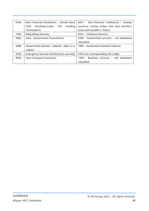| 6540 | Non-Financial Institutions - Stored Value | $6051$ - Non-financial institutions - foreign |
|------|-------------------------------------------|-----------------------------------------------|
|      | Purchase/Load; POI<br>Funding<br>Card     | currency, money orders (not wire transfer),   |
|      | Transactions                              | scrip and travellers' checks                  |
| 7295 | <b>Babysitting Services</b>               | 8351 - Childcare Services                     |
| 9405 | Intra - Government Transactions           | 9399 - Government services – not elsewhere    |
|      |                                           | classified                                    |
| 9406 | Government-Owned Lotteries (Non-U.S.      | 7800 - Government Owned Lotteries             |
|      | region)                                   |                                               |
| 9702 | Emergency Services (GCAS) (Visa use only) | 9702 (no corresponding ISO code)              |
| 9950 | Intra-Company Purchases                   | 7399 - Business services - not elsewhere      |
|      |                                           | classified                                    |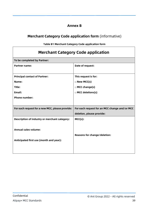#### **Annex B**

#### **Merchant Category Code application form** (informative)

**Table B1 Merchant Category Code application form**

<span id="page-39-0"></span>

| <b>Merchant Category Code application</b>                                           |                                                                            |  |  |  |
|-------------------------------------------------------------------------------------|----------------------------------------------------------------------------|--|--|--|
| To be completed by Partner:                                                         |                                                                            |  |  |  |
| <b>Partner name:</b>                                                                | Date of request:                                                           |  |  |  |
| <b>Principal contact of Partner:</b><br>Name:<br>Title:                             | This request is for:<br>□ New MCC(s)<br>□ MCC change(s)                    |  |  |  |
| Email:<br><b>Phone number:</b>                                                      | $\Box$ MCC deletions(s)                                                    |  |  |  |
| For each request for a new MCC, please provide:                                     | For each request for an MCC change and/or MCC<br>deletion, please provide: |  |  |  |
| <b>Description of industry or merchant category:</b><br><b>Annual sales volume:</b> | $MCC(s)$ :                                                                 |  |  |  |
| Anticipated first use (month and year):                                             | Reasons for change/deletion:                                               |  |  |  |

 $\overline{\mathsf{I}}$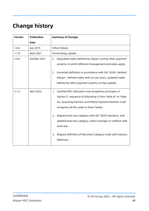# <span id="page-40-0"></span>**Change history**

| <b>Version</b> | <b>Publication</b> | <b>Summary of Changes</b>                                        |
|----------------|--------------------|------------------------------------------------------------------|
|                | <b>Date</b>        |                                                                  |
| 1.0.0          | <b>July 2019</b>   | Initial release                                                  |
| 1.1.0          | April 2021         | Terminology update                                               |
| 2.0.0          | October 2021       | Separated codes defined by Alipay+ and by other payment<br>1.    |
|                |                    | systems, to which different management principles apply.         |
|                |                    | Corrected definition in accordance with ISO 18245; deleted<br>2. |
|                |                    | Alipay+- defined codes with no use cases; updated codes          |
|                |                    | defined by other payment systems as they update.                 |
| 2.1.0          | April 2022         | Clarified MCC allocation and recognition principles in<br>1.     |
|                |                    | Section 5: sequence of allocating is from Table A1 to Table      |
|                |                    | A3; Acquiring Partners and Mobile Payment Partners shall         |
|                |                    | recognize all the codes in three Tables.                         |
|                |                    | Aligned level one category with ISO 18245 standard, and<br>2.    |
|                |                    | deleted level two category, which overlaps or conflicts with     |
|                |                    | level one.                                                       |
|                |                    | Aligned definition of Merchant Category Code with industry<br>3. |
|                |                    | definition.                                                      |